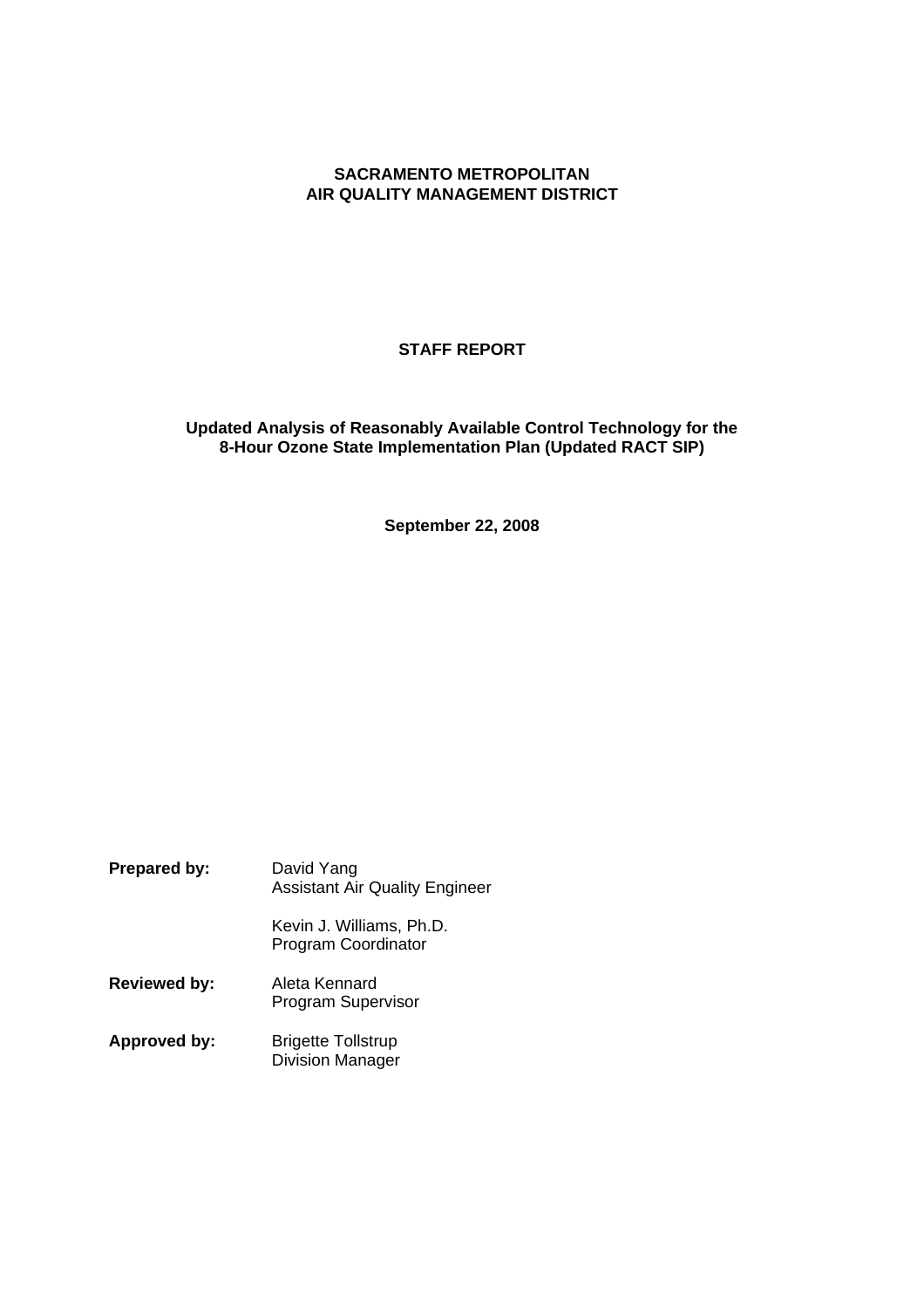# **SACRAMENTO METROPOLITAN AIR QUALITY MANAGEMENT DISTRICT**

**STAFF REPORT**

**Updated Analysis of Reasonably Available Control Technology for the 8-Hour Ozone State Implementation Plan (Updated RACT SIP)**

**September 22, 2008**

| Prepared by:        | David Yang<br><b>Assistant Air Quality Engineer</b> |
|---------------------|-----------------------------------------------------|
|                     | Kevin J. Williams, Ph.D.<br>Program Coordinator     |
| <b>Reviewed by:</b> | Aleta Kennard<br><b>Program Supervisor</b>          |

Approved by: Brigette Tollstrup Division Manager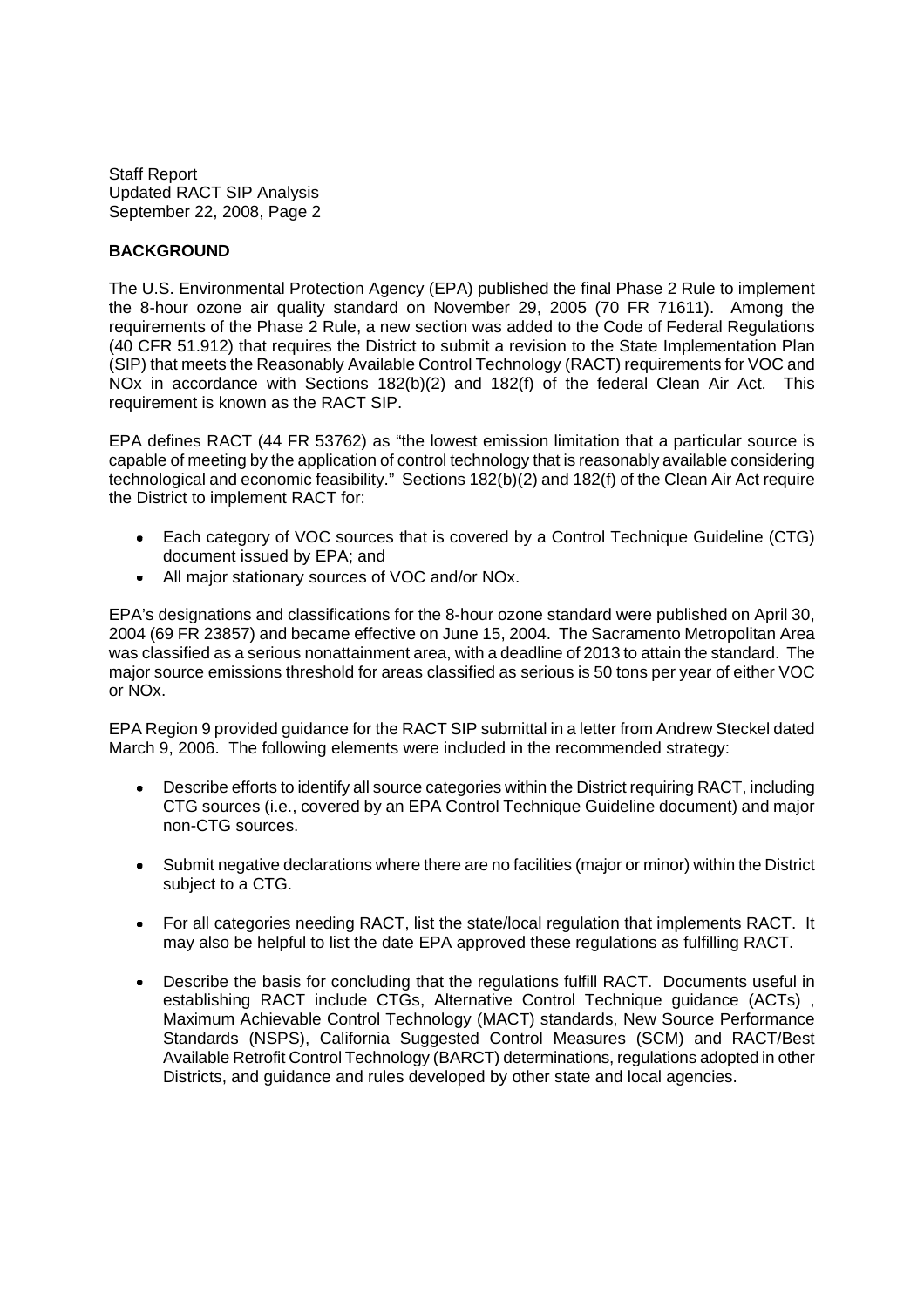# **BACKGROUND**

The U.S. Environmental Protection Agency (EPA) published the final Phase 2 Rule to implement the 8-hour ozone air quality standard on November 29, 2005 (70 FR 71611). Among the requirements of the Phase 2 Rule, a new section was added to the Code of Federal Regulations (40 CFR 51.912) that requires the District to submit a revision to the State Implementation Plan (SIP) that meets the Reasonably Available Control Technology (RACT) requirements for VOC and NOx in accordance with Sections 182(b)(2) and 182(f) of the federal Clean Air Act. This requirement is known as the RACT SIP.

EPA defines RACT (44 FR 53762) as "the lowest emission limitation that a particular source is capable of meeting by the application of control technology that is reasonably available considering technological and economic feasibility." Sections 182(b)(2) and 182(f) of the Clean Air Act require the District to implement RACT for:

- Each category of VOC sources that is covered by a Control Technique Guideline (CTG) document issued by EPA; and
- All major stationary sources of VOC and/or NOx.

EPA's designations and classifications for the 8-hour ozone standard were published on April 30, 2004 (69 FR 23857) and became effective on June 15, 2004. The Sacramento Metropolitan Area was classified as a serious nonattainment area, with a deadline of 2013 to attain the standard. The major source emissions threshold for areas classified as serious is 50 tons per year of either VOC or NOx.

EPA Region 9 provided guidance for the RACT SIP submittal in a letter from Andrew Steckel dated March 9, 2006. The following elements were included in the recommended strategy:

- Describe efforts to identify all source categories within the District requiring RACT, including CTG sources (i.e., covered by an EPA Control Technique Guideline document) and major non-CTG sources.
- Submit negative declarations where there are no facilities (major or minor) within the District subject to a CTG.
- For all categories needing RACT, list the state/local regulation that implements RACT. It may also be helpful to list the date EPA approved these regulations as fulfilling RACT.
- Describe the basis for concluding that the regulations fulfill RACT. Documents useful in establishing RACT include CTGs, Alternative Control Technique guidance (ACTs) , Maximum Achievable Control Technology (MACT) standards, New Source Performance Standards (NSPS), California Suggested Control Measures (SCM) and RACT/Best Available Retrofit Control Technology (BARCT) determinations, regulations adopted in other Districts, and guidance and rules developed by other state and local agencies.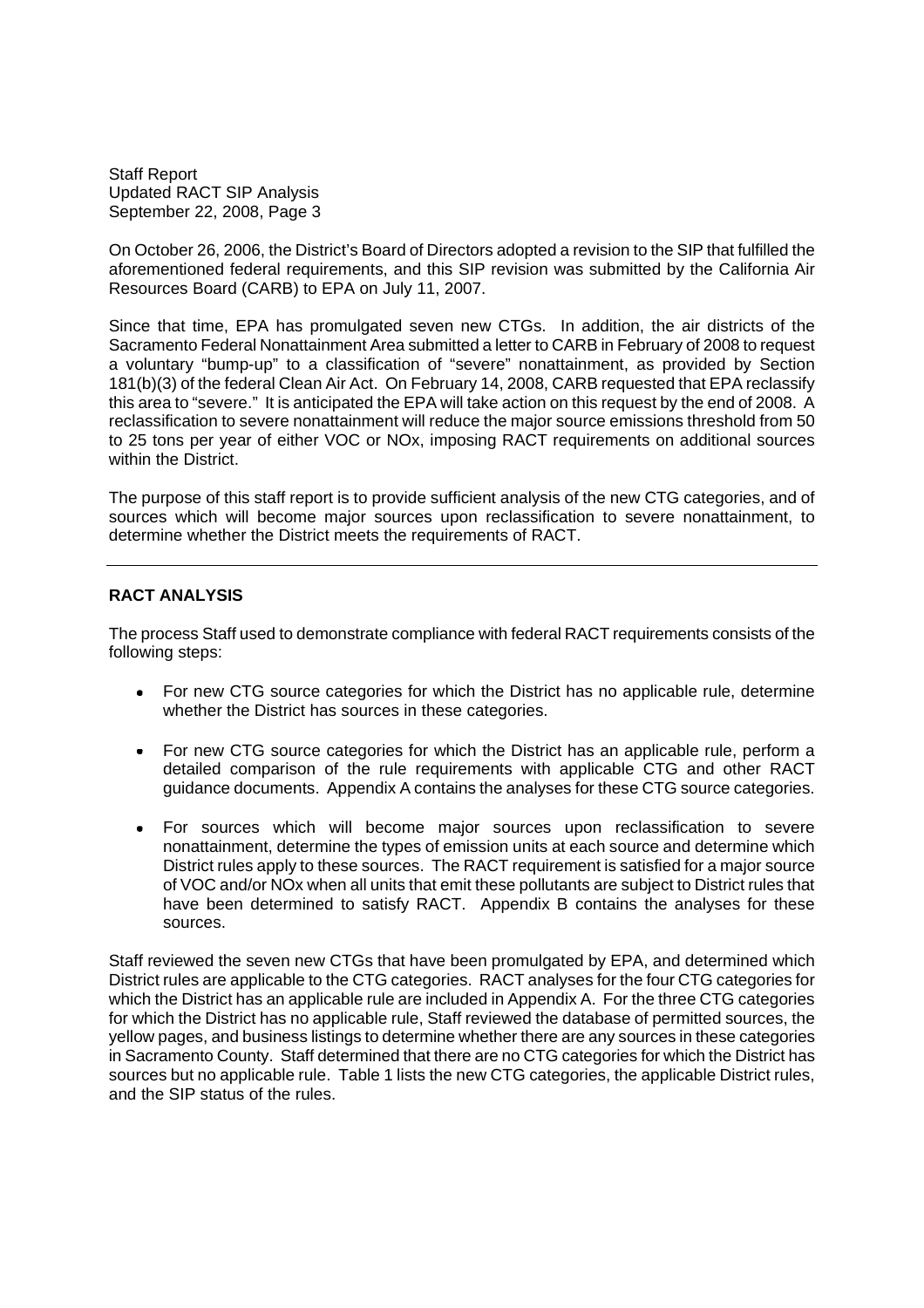On October 26, 2006, the District's Board of Directors adopted a revision to the SIP that fulfilled the aforementioned federal requirements, and this SIP revision was submitted by the California Air Resources Board (CARB) to EPA on July 11, 2007.

Since that time, EPA has promulgated seven new CTGs. In addition, the air districts of the Sacramento Federal Nonattainment Area submitted a letter to CARB in February of 2008 to request a voluntary "bump-up" to a classification of "severe" nonattainment, as provided by Section 181(b)(3) of the federal Clean Air Act. On February 14, 2008, CARB requested that EPA reclassify this area to "severe." It is anticipated the EPA will take action on this request by the end of 2008. A reclassification to severe nonattainment will reduce the major source emissions threshold from 50 to 25 tons per year of either VOC or NOx, imposing RACT requirements on additional sources within the District.

The purpose of this staff report is to provide sufficient analysis of the new CTG categories, and of sources which will become major sources upon reclassification to severe nonattainment, to determine whether the District meets the requirements of RACT.

# **RACT ANALYSIS**

The process Staff used to demonstrate compliance with federal RACT requirements consists of the following steps:

- For new CTG source categories for which the District has no applicable rule, determine whether the District has sources in these categories.
- For new CTG source categories for which the District has an applicable rule, perform a  $\bullet$ detailed comparison of the rule requirements with applicable CTG and other RACT guidance documents. Appendix A contains the analyses for these CTG source categories.
- For sources which will become major sources upon reclassification to severe nonattainment, determine the types of emission units at each source and determine which District rules apply to these sources. The RACT requirement is satisfied for a major source of VOC and/or NOx when all units that emit these pollutants are subject to District rules that have been determined to satisfy RACT. Appendix B contains the analyses for these sources.

Staff reviewed the seven new CTGs that have been promulgated by EPA, and determined which District rules are applicable to the CTG categories. RACT analyses for the four CTG categories for which the District has an applicable rule are included in Appendix A. For the three CTG categories for which the District has no applicable rule, Staff reviewed the database of permitted sources, the yellow pages, and business listings to determine whether there are any sources in these categories in Sacramento County. Staff determined that there are no CTG categories for which the District has sources but no applicable rule. Table 1 lists the new CTG categories, the applicable District rules, and the SIP status of the rules.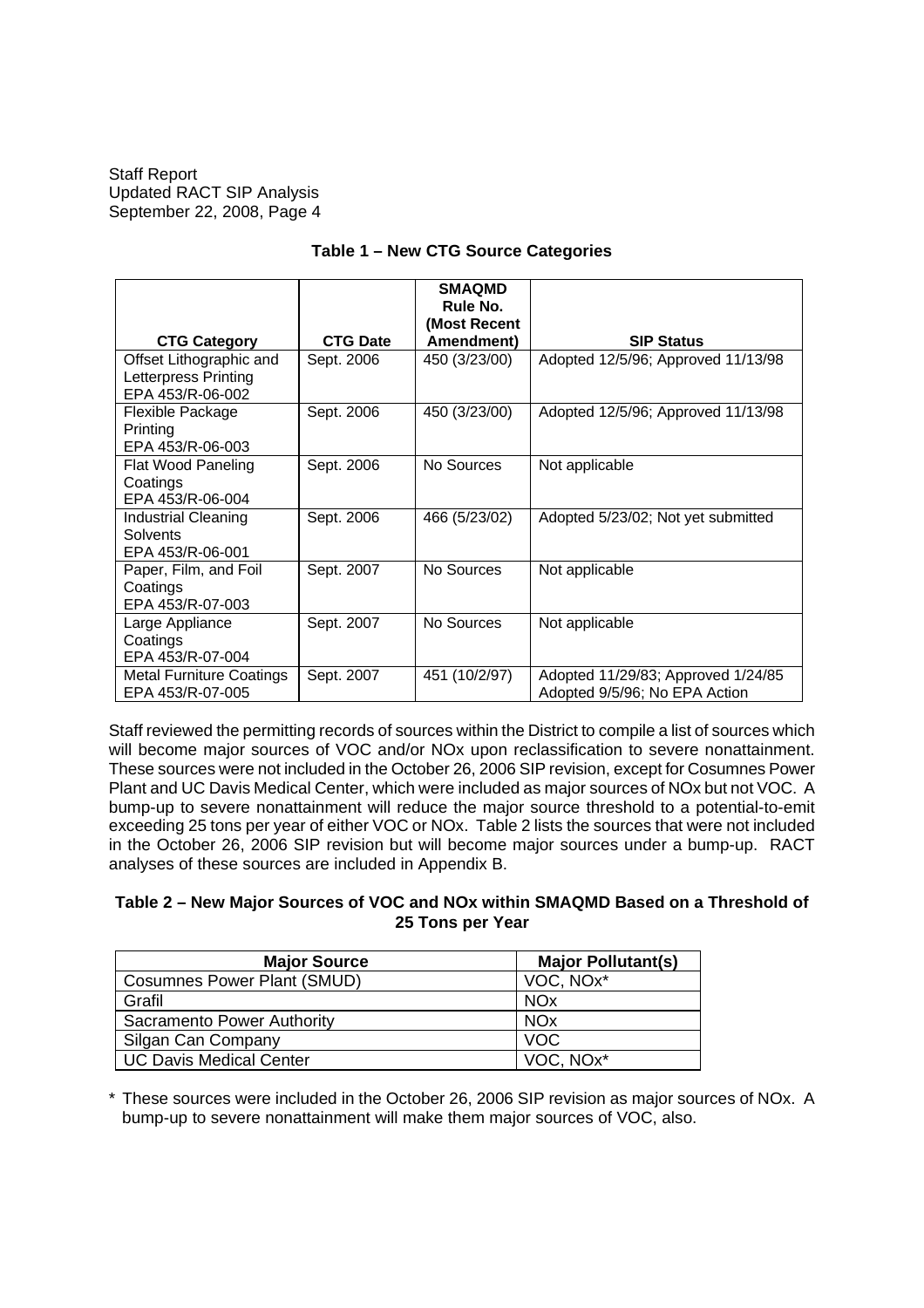|                                 |                 | <b>SMAQMD</b><br>Rule No. |                                    |
|---------------------------------|-----------------|---------------------------|------------------------------------|
|                                 |                 | (Most Recent              |                                    |
| <b>CTG Category</b>             | <b>CTG Date</b> | Amendment)                | <b>SIP Status</b>                  |
| Offset Lithographic and         | Sept. 2006      | 450 (3/23/00)             | Adopted 12/5/96; Approved 11/13/98 |
| Letterpress Printing            |                 |                           |                                    |
| EPA 453/R-06-002                |                 |                           |                                    |
| Flexible Package                | Sept. 2006      | 450 (3/23/00)             | Adopted 12/5/96; Approved 11/13/98 |
| Printing                        |                 |                           |                                    |
| EPA 453/R-06-003                |                 |                           |                                    |
| Flat Wood Paneling              | Sept. 2006      | No Sources                | Not applicable                     |
| Coatings                        |                 |                           |                                    |
| EPA 453/R-06-004                |                 |                           |                                    |
| <b>Industrial Cleaning</b>      | Sept. 2006      | 466 (5/23/02)             | Adopted 5/23/02; Not yet submitted |
| <b>Solvents</b>                 |                 |                           |                                    |
| EPA 453/R-06-001                |                 |                           |                                    |
| Paper, Film, and Foil           | Sept. 2007      | No Sources                | Not applicable                     |
| Coatings                        |                 |                           |                                    |
| EPA 453/R-07-003                |                 |                           |                                    |
| Large Appliance                 | Sept. 2007      | No Sources                | Not applicable                     |
| Coatings                        |                 |                           |                                    |
| EPA 453/R-07-004                |                 |                           |                                    |
| <b>Metal Furniture Coatings</b> | Sept. 2007      | 451 (10/2/97)             | Adopted 11/29/83; Approved 1/24/85 |
| EPA 453/R-07-005                |                 |                           | Adopted 9/5/96; No EPA Action      |

# **Table 1 – New CTG Source Categories**

Staff reviewed the permitting records of sources within the District to compile a list of sources which will become major sources of VOC and/or NOx upon reclassification to severe nonattainment. These sources were not included in the October 26, 2006 SIP revision, except for Cosumnes Power Plant and UC Davis Medical Center, which were included as major sources of NOx but not VOC. A bump-up to severe nonattainment will reduce the major source threshold to a potential-to-emit exceeding 25 tons per year of either VOC or NOx. Table 2 lists the sources that were not included in the October 26, 2006 SIP revision but will become major sources under a bump-up. RACT analyses of these sources are included in Appendix B.

# **Table 2 – New Major Sources of VOC and NOx within SMAQMD Based on a Threshold of 25 Tons per Year**

| <b>Major Source</b>                | <b>Major Pollutant(s)</b> |
|------------------------------------|---------------------------|
| <b>Cosumnes Power Plant (SMUD)</b> | VOC, NOx*                 |
| Grafil                             | <b>NOx</b>                |
| <b>Sacramento Power Authority</b>  | <b>NO<sub>x</sub></b>     |
| Silgan Can Company                 | <b>VOC</b>                |
| <b>UC Davis Medical Center</b>     | VOC, NO <sub>x</sub> *    |

\* These sources were included in the October 26, 2006 SIP revision as major sources of NOx. A bump-up to severe nonattainment will make them major sources of VOC, also.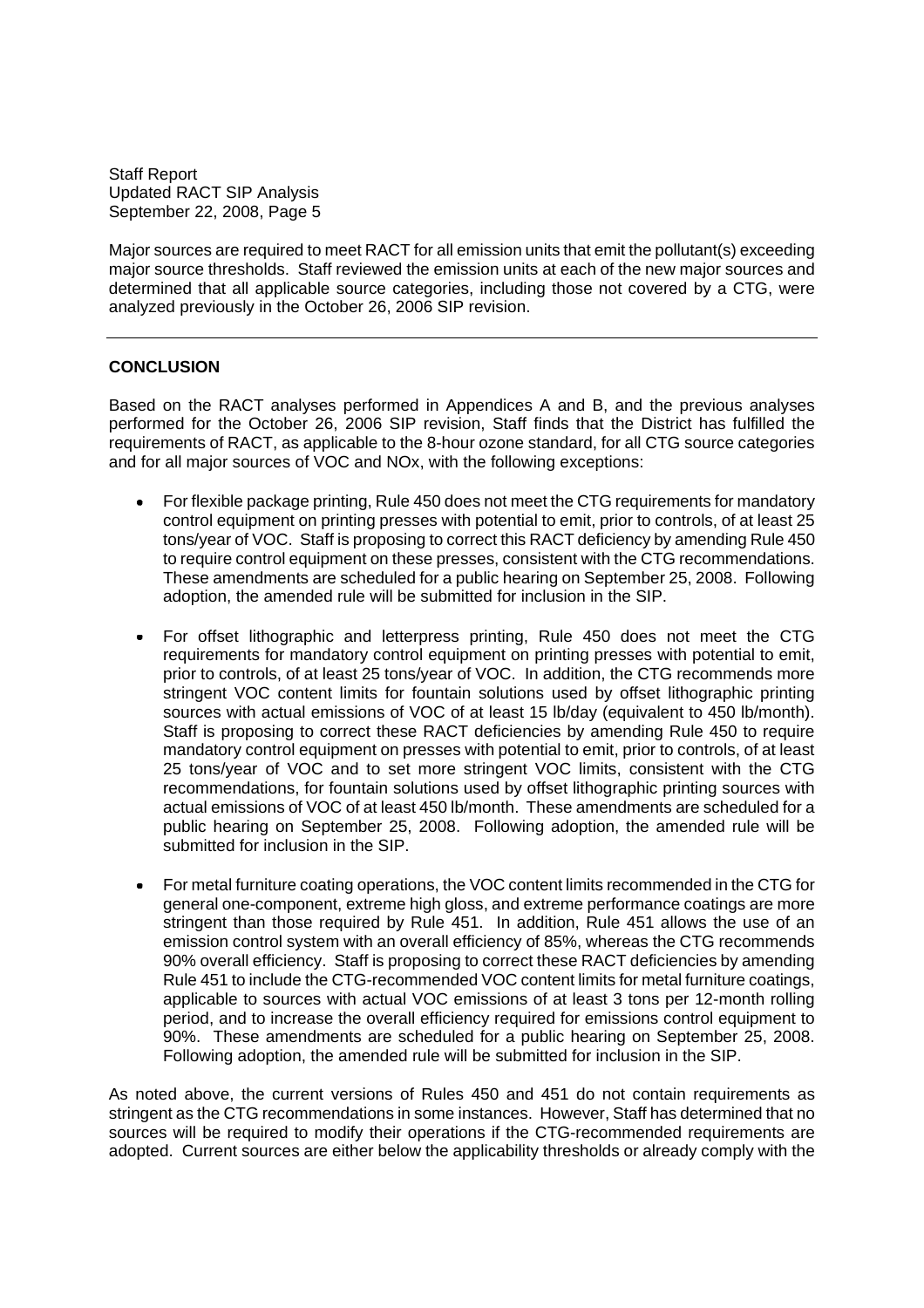Major sources are required to meet RACT for all emission units that emit the pollutant(s) exceeding major source thresholds. Staff reviewed the emission units at each of the new major sources and determined that all applicable source categories, including those not covered by a CTG, were analyzed previously in the October 26, 2006 SIP revision.

# **CONCLUSION**

Based on the RACT analyses performed in Appendices A and B, and the previous analyses performed for the October 26, 2006 SIP revision, Staff finds that the District has fulfilled the requirements of RACT, as applicable to the 8-hour ozone standard, for all CTG source categories and for all major sources of VOC and NOx, with the following exceptions:

- $\bullet$ For flexible package printing, Rule 450 does not meet the CTG requirements for mandatory control equipment on printing presses with potential to emit, prior to controls, of at least 25 tons/year of VOC. Staff is proposing to correct this RACT deficiency by amending Rule 450 to require control equipment on these presses, consistent with the CTG recommendations. These amendments are scheduled for a public hearing on September 25, 2008. Following adoption, the amended rule will be submitted for inclusion in the SIP.
- For offset lithographic and letterpress printing, Rule 450 does not meet the CTG  $\bullet$ requirements for mandatory control equipment on printing presses with potential to emit, prior to controls, of at least 25 tons/year of VOC. In addition, the CTG recommends more stringent VOC content limits for fountain solutions used by offset lithographic printing sources with actual emissions of VOC of at least 15 lb/day (equivalent to 450 lb/month). Staff is proposing to correct these RACT deficiencies by amending Rule 450 to require mandatory control equipment on presses with potential to emit, prior to controls, of at least 25 tons/year of VOC and to set more stringent VOC limits, consistent with the CTG recommendations, for fountain solutions used by offset lithographic printing sources with actual emissions of VOC of at least 450 lb/month. These amendments are scheduled for a public hearing on September 25, 2008. Following adoption, the amended rule will be submitted for inclusion in the SIP.
- For metal furniture coating operations, the VOC content limits recommended in the CTG for general one-component, extreme high gloss, and extreme performance coatings are more stringent than those required by Rule 451. In addition, Rule 451 allows the use of an emission control system with an overall efficiency of 85%, whereas the CTG recommends 90% overall efficiency. Staff is proposing to correct these RACT deficiencies by amending Rule 451 to include the CTG-recommended VOC content limits for metal furniture coatings, applicable to sources with actual VOC emissions of at least 3 tons per 12-month rolling period, and to increase the overall efficiency required for emissions control equipment to 90%. These amendments are scheduled for a public hearing on September 25, 2008. Following adoption, the amended rule will be submitted for inclusion in the SIP.

As noted above, the current versions of Rules 450 and 451 do not contain requirements as stringent as the CTG recommendations in some instances. However, Staff has determined that no sources will be required to modify their operations if the CTG-recommended requirements are adopted. Current sources are either below the applicability thresholds or already comply with the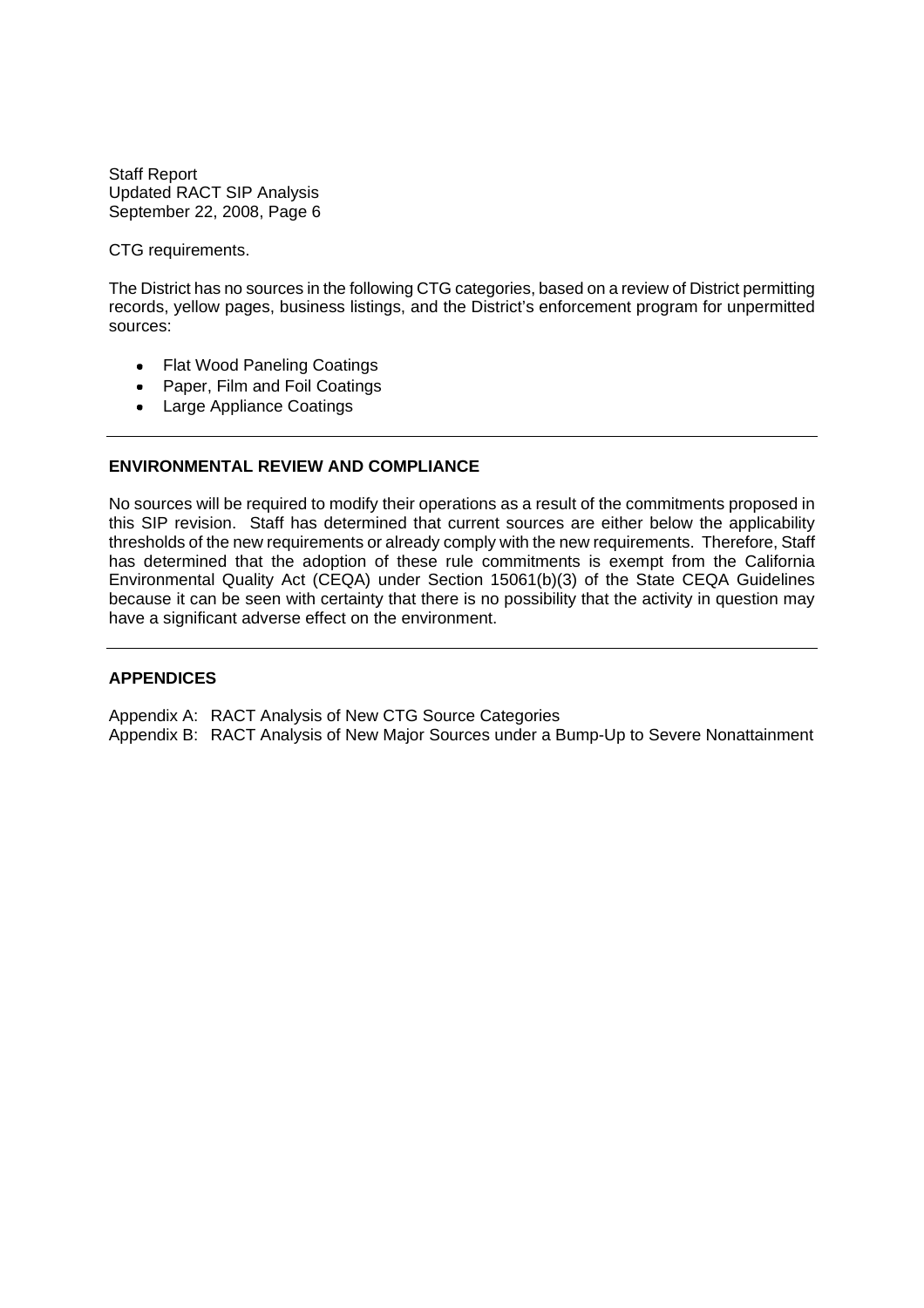CTG requirements.

The District has no sources in the following CTG categories, based on a review of District permitting records, yellow pages, business listings, and the District's enforcement program for unpermitted sources:

- Flat Wood Paneling Coatings
- Paper, Film and Foil Coatings
- Large Appliance Coatings

# **ENVIRONMENTAL REVIEW AND COMPLIANCE**

No sources will be required to modify their operations as a result of the commitments proposed in this SIP revision. Staff has determined that current sources are either below the applicability thresholds of the new requirements or already comply with the new requirements. Therefore, Staff has determined that the adoption of these rule commitments is exempt from the California Environmental Quality Act (CEQA) under Section 15061(b)(3) of the State CEQA Guidelines because it can be seen with certainty that there is no possibility that the activity in question may have a significant adverse effect on the environment.

# **APPENDICES**

Appendix A: RACT Analysis of New CTG Source Categories

Appendix B: RACT Analysis of New Major Sources under a Bump-Up to Severe Nonattainment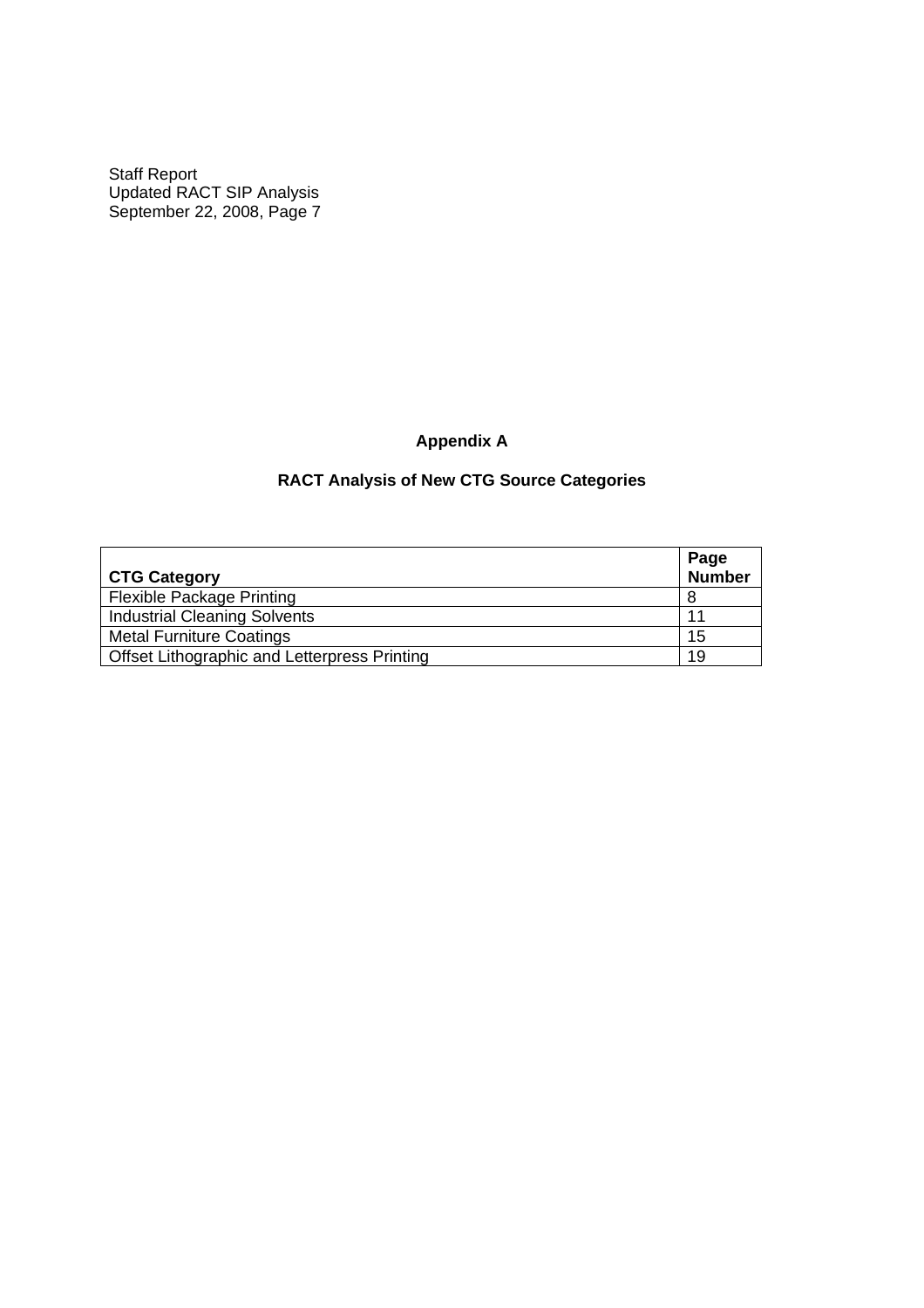# **Appendix A**

# **RACT Analysis of New CTG Source Categories**

| <b>CTG Category</b>                                 | Page<br><b>Number</b> |
|-----------------------------------------------------|-----------------------|
| <b>Flexible Package Printing</b>                    |                       |
| <b>Industrial Cleaning Solvents</b>                 | 11                    |
| <b>Metal Furniture Coatings</b>                     | 15                    |
| <b>Offset Lithographic and Letterpress Printing</b> | 19                    |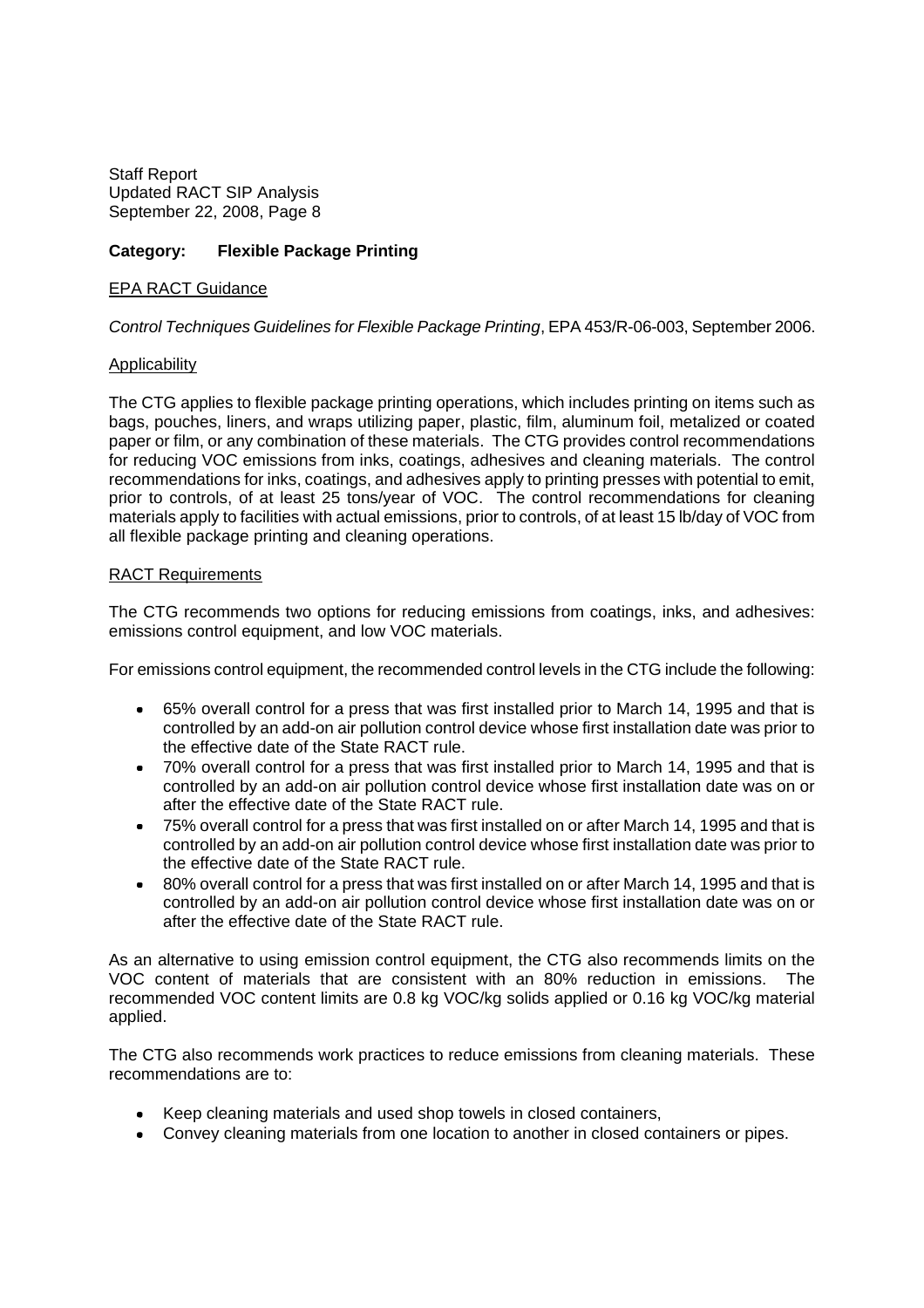# **Category: Flexible Package Printing**

# EPA RACT Guidance

*Control Techniques Guidelines for Flexible Package Printing*, EPA 453/R-06-003, September 2006.

#### Applicability

The CTG applies to flexible package printing operations, which includes printing on items such as bags, pouches, liners, and wraps utilizing paper, plastic, film, aluminum foil, metalized or coated paper or film, or any combination of these materials. The CTG provides control recommendations for reducing VOC emissions from inks, coatings, adhesives and cleaning materials. The control recommendations for inks, coatings, and adhesives apply to printing presses with potential to emit, prior to controls, of at least 25 tons/year of VOC. The control recommendations for cleaning materials apply to facilities with actual emissions, prior to controls, of at least 15 lb/day of VOC from all flexible package printing and cleaning operations.

#### RACT Requirements

The CTG recommends two options for reducing emissions from coatings, inks, and adhesives: emissions control equipment, and low VOC materials.

For emissions control equipment, the recommended control levels in the CTG include the following:

- 65% overall control for a press that was first installed prior to March 14, 1995 and that is controlled by an add-on air pollution control device whose first installation date was prior to the effective date of the State RACT rule.
- 70% overall control for a press that was first installed prior to March 14, 1995 and that is controlled by an add-on air pollution control device whose first installation date was on or after the effective date of the State RACT rule.
- 75% overall control for a press that was first installed on or after March 14, 1995 and that is controlled by an add-on air pollution control device whose first installation date was prior to the effective date of the State RACT rule.
- 80% overall control for a press that was first installed on or after March 14, 1995 and that is controlled by an add-on air pollution control device whose first installation date was on or after the effective date of the State RACT rule.

As an alternative to using emission control equipment, the CTG also recommends limits on the VOC content of materials that are consistent with an 80% reduction in emissions. The recommended VOC content limits are 0.8 kg VOC/kg solids applied or 0.16 kg VOC/kg material applied.

The CTG also recommends work practices to reduce emissions from cleaning materials. These recommendations are to:

- Keep cleaning materials and used shop towels in closed containers,
- Convey cleaning materials from one location to another in closed containers or pipes.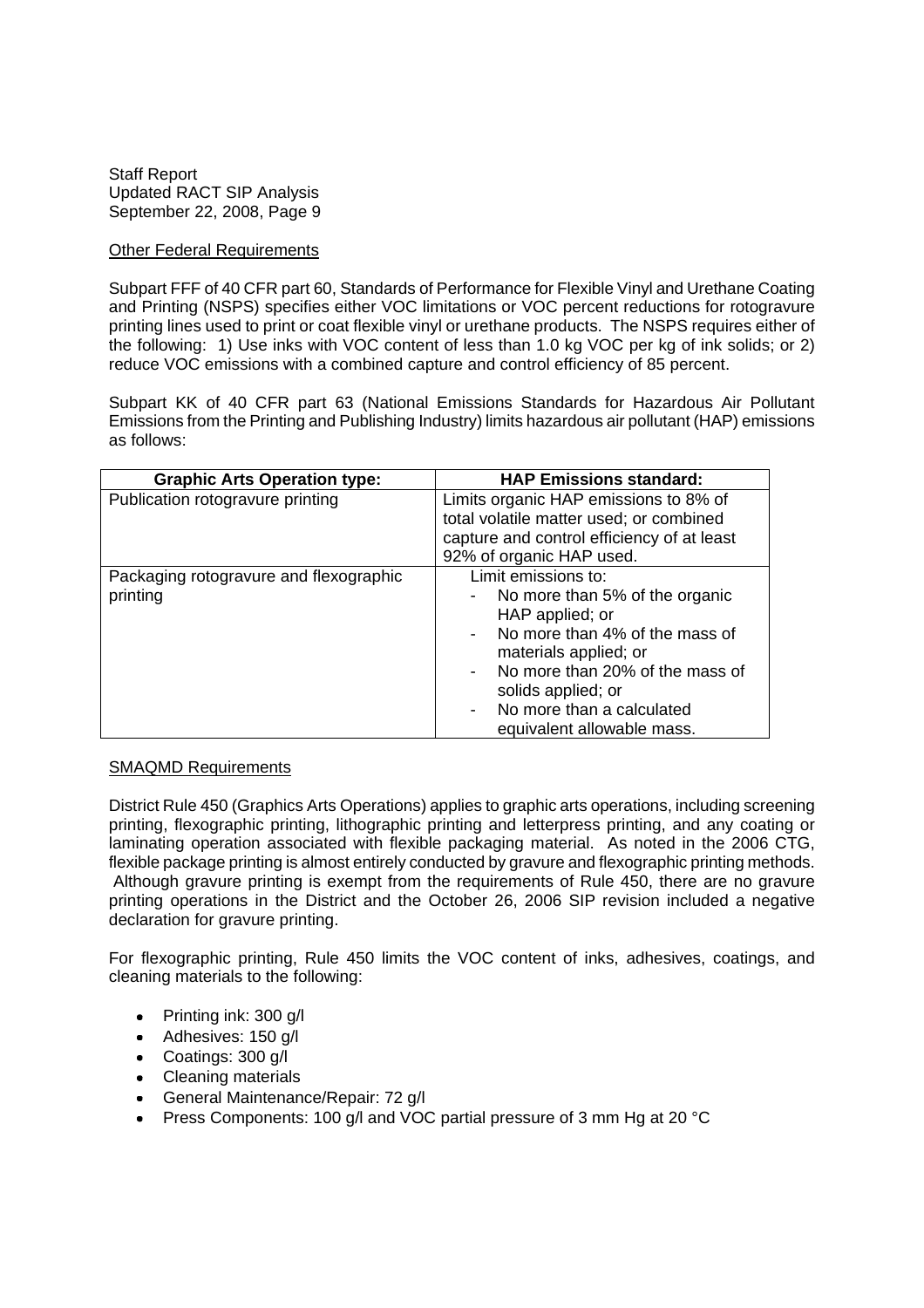# Other Federal Requirements

Subpart FFF of 40 CFR part 60, Standards of Performance for Flexible Vinyl and Urethane Coating and Printing (NSPS) specifies either VOC limitations or VOC percent reductions for rotogravure printing lines used to print or coat flexible vinyl or urethane products. The NSPS requires either of the following: 1) Use inks with VOC content of less than 1.0 kg VOC per kg of ink solids; or 2) reduce VOC emissions with a combined capture and control efficiency of 85 percent.

Subpart KK of 40 CFR part 63 (National Emissions Standards for Hazardous Air Pollutant Emissions from the Printing and Publishing Industry) limits hazardous air pollutant (HAP) emissions as follows:

| <b>Graphic Arts Operation type:</b>                | <b>HAP Emissions standard:</b>                                                                                                                                                                                                                            |
|----------------------------------------------------|-----------------------------------------------------------------------------------------------------------------------------------------------------------------------------------------------------------------------------------------------------------|
| Publication rotogravure printing                   | Limits organic HAP emissions to 8% of                                                                                                                                                                                                                     |
|                                                    | total volatile matter used; or combined                                                                                                                                                                                                                   |
|                                                    | capture and control efficiency of at least                                                                                                                                                                                                                |
|                                                    | 92% of organic HAP used.                                                                                                                                                                                                                                  |
| Packaging rotogravure and flexographic<br>printing | Limit emissions to:<br>No more than 5% of the organic<br>HAP applied; or<br>- No more than 4% of the mass of<br>materials applied; or<br>No more than 20% of the mass of<br>solids applied; or<br>No more than a calculated<br>equivalent allowable mass. |

# SMAQMD Requirements

District Rule 450 (Graphics Arts Operations) applies to graphic arts operations, including screening printing, flexographic printing, lithographic printing and letterpress printing, and any coating or laminating operation associated with flexible packaging material. As noted in the 2006 CTG, flexible package printing is almost entirely conducted by gravure and flexographic printing methods. Although gravure printing is exempt from the requirements of Rule 450, there are no gravure printing operations in the District and the October 26, 2006 SIP revision included a negative declaration for gravure printing.

For flexographic printing, Rule 450 limits the VOC content of inks, adhesives, coatings, and cleaning materials to the following:

- Printing ink: 300 g/l
- Adhesives: 150 g/l
- Coatings: 300 g/l
- Cleaning materials
- General Maintenance/Repair: 72 g/l
- Press Components: 100 g/l and VOC partial pressure of 3 mm Hg at 20 °C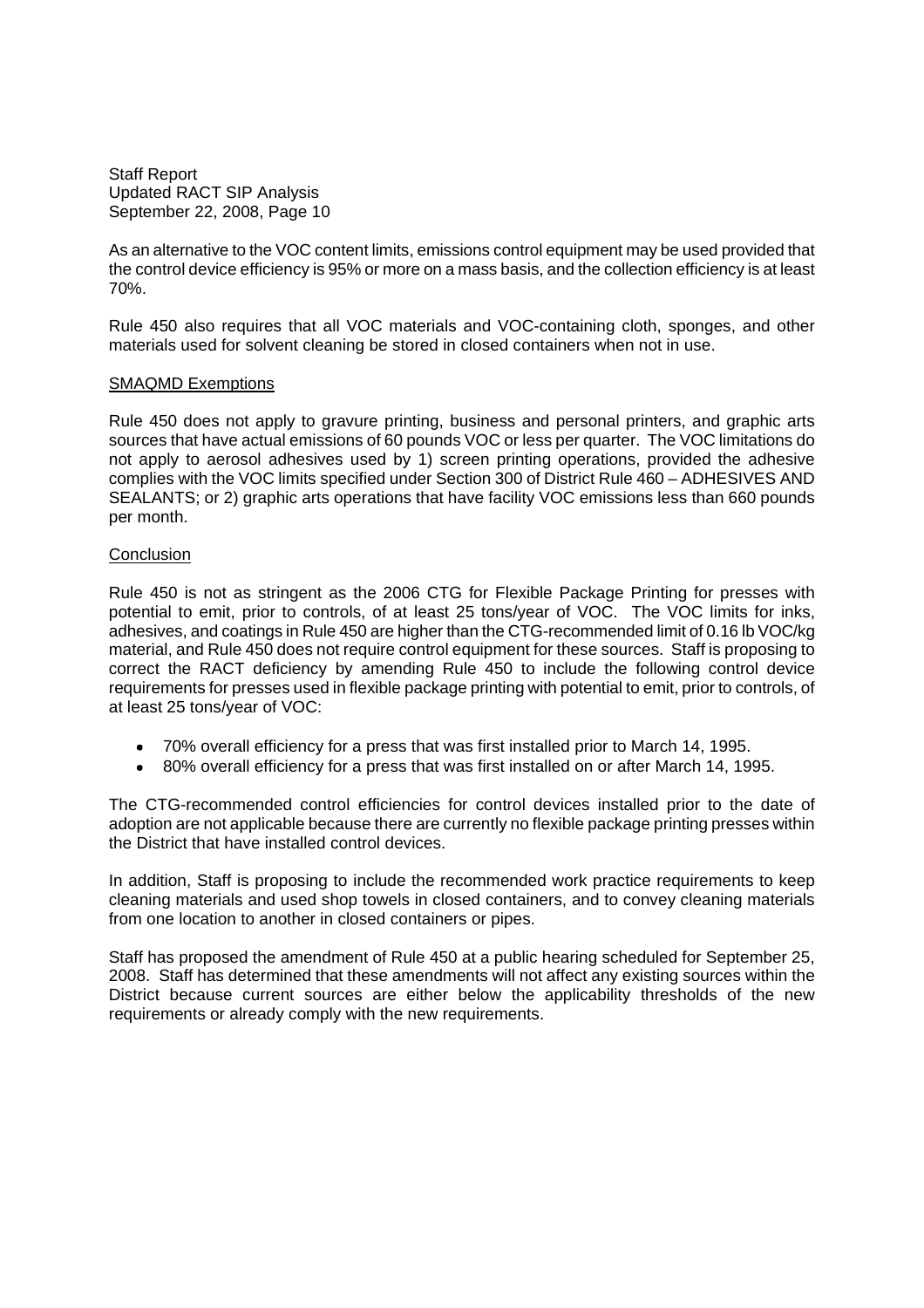As an alternative to the VOC content limits, emissions control equipment may be used provided that the control device efficiency is 95% or more on a mass basis, and the collection efficiency is at least 70%.

Rule 450 also requires that all VOC materials and VOC-containing cloth, sponges, and other materials used for solvent cleaning be stored in closed containers when not in use.

#### SMAQMD Exemptions

Rule 450 does not apply to gravure printing, business and personal printers, and graphic arts sources that have actual emissions of 60 pounds VOC or less per quarter. The VOC limitations do not apply to aerosol adhesives used by 1) screen printing operations, provided the adhesive complies with the VOC limits specified under Section 300 of District Rule 460 – ADHESIVES AND SEALANTS; or 2) graphic arts operations that have facility VOC emissions less than 660 pounds per month.

#### **Conclusion**

Rule 450 is not as stringent as the 2006 CTG for Flexible Package Printing for presses with potential to emit, prior to controls, of at least 25 tons/year of VOC. The VOC limits for inks, adhesives, and coatings in Rule 450 are higher than the CTG-recommended limit of 0.16 lb VOC/kg material, and Rule 450 does not require control equipment for these sources. Staff is proposing to correct the RACT deficiency by amending Rule 450 to include the following control device requirements for presses used in flexible package printing with potential to emit, prior to controls, of at least 25 tons/year of VOC:

- 70% overall efficiency for a press that was first installed prior to March 14, 1995.  $\bullet$
- 80% overall efficiency for a press that was first installed on or after March 14, 1995.

The CTG-recommended control efficiencies for control devices installed prior to the date of adoption are not applicable because there are currently no flexible package printing presses within the District that have installed control devices.

In addition, Staff is proposing to include the recommended work practice requirements to keep cleaning materials and used shop towels in closed containers, and to convey cleaning materials from one location to another in closed containers or pipes.

Staff has proposed the amendment of Rule 450 at a public hearing scheduled for September 25, 2008. Staff has determined that these amendments will not affect any existing sources within the District because current sources are either below the applicability thresholds of the new requirements or already comply with the new requirements.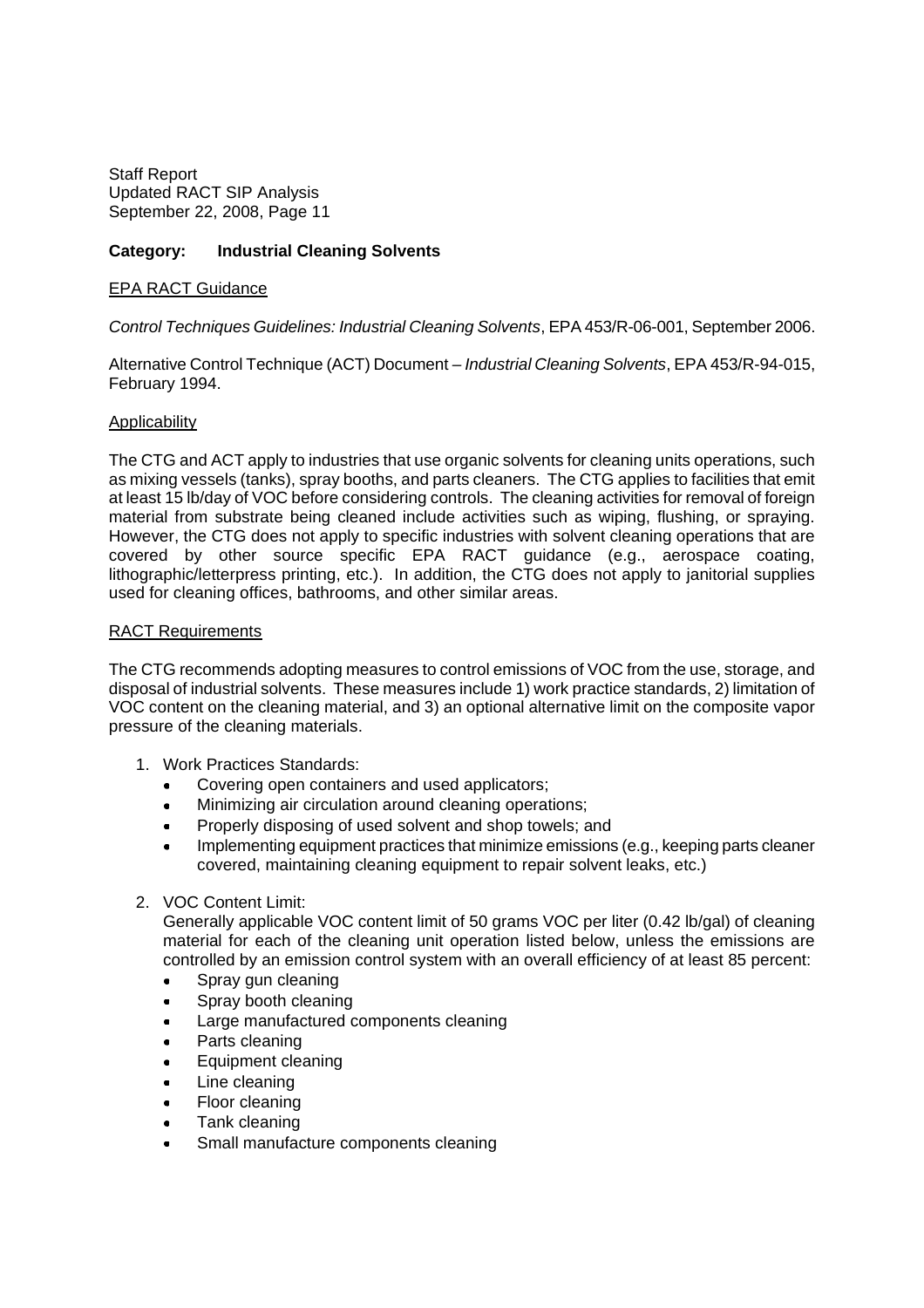# **Category: Industrial Cleaning Solvents**

# EPA RACT Guidance

*Control Techniques Guidelines: Industrial Cleaning Solvents*, EPA 453/R-06-001, September 2006.

Alternative Control Technique (ACT) Document *– Industrial Cleaning Solvents*, EPA 453/R-94-015, February 1994.

#### Applicability

The CTG and ACT apply to industries that use organic solvents for cleaning units operations, such as mixing vessels (tanks), spray booths, and parts cleaners. The CTG applies to facilities that emit at least 15 lb/day of VOC before considering controls. The cleaning activities for removal of foreign material from substrate being cleaned include activities such as wiping, flushing, or spraying. However, the CTG does not apply to specific industries with solvent cleaning operations that are covered by other source specific EPA RACT guidance (e.g., aerospace coating, lithographic/letterpress printing, etc.). In addition, the CTG does not apply to janitorial supplies used for cleaning offices, bathrooms, and other similar areas.

#### RACT Requirements

The CTG recommends adopting measures to control emissions of VOC from the use, storage, and disposal of industrial solvents. These measures include 1) work practice standards, 2) limitation of VOC content on the cleaning material, and 3) an optional alternative limit on the composite vapor pressure of the cleaning materials.

- 1. Work Practices Standards:
	- Covering open containers and used applicators;
	- Minimizing air circulation around cleaning operations;
	- Properly disposing of used solvent and shop towels; and  $\bullet$
	- Implementing equipment practices that minimize emissions (e.g., keeping parts cleaner covered, maintaining cleaning equipment to repair solvent leaks, etc.)
- 2. VOC Content Limit:

Generally applicable VOC content limit of 50 grams VOC per liter (0.42 lb/gal) of cleaning material for each of the cleaning unit operation listed below, unless the emissions are controlled by an emission control system with an overall efficiency of at least 85 percent:

- $\bullet$ Spray gun cleaning
- Spray booth cleaning
- Large manufactured components cleaning
- Parts cleaning
- Equipment cleaning
- Line cleaning
- Floor cleaning
- Tank cleaning
- Small manufacture components cleaning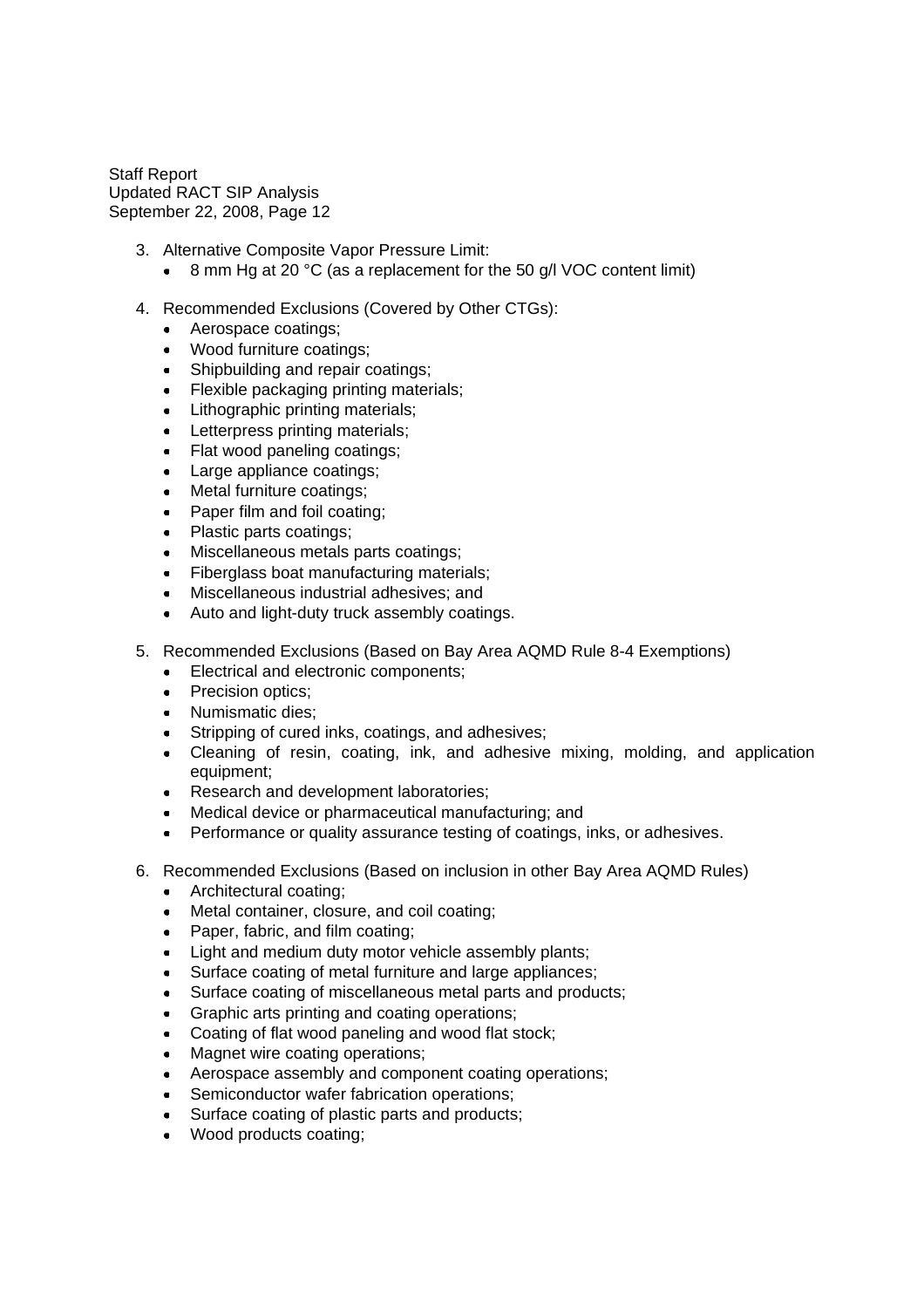- 3. Alternative Composite Vapor Pressure Limit:
	- $\bullet$  8 mm Hg at 20 °C (as a replacement for the 50 g/l VOC content limit)
- 4. Recommended Exclusions (Covered by Other CTGs):
	- Aerospace coatings;
	- Wood furniture coatings;
	- Shipbuilding and repair coatings;
	- Flexible packaging printing materials;
	- Lithographic printing materials;
	- Letterpress printing materials;
	- Flat wood paneling coatings;
	- Large appliance coatings;
	- Metal furniture coatings;
	- Paper film and foil coating;
	- Plastic parts coatings;
	- Miscellaneous metals parts coatings;
	- Fiberglass boat manufacturing materials:
	- Miscellaneous industrial adhesives; and
	- Auto and light-duty truck assembly coatings.
- 5. Recommended Exclusions (Based on Bay Area AQMD Rule 8-4 Exemptions)
	- **Electrical and electronic components:**
	- Precision optics:
	- Numismatic dies:
	- Stripping of cured inks, coatings, and adhesives;
	- Cleaning of resin, coating, ink, and adhesive mixing, molding, and application equipment;
	- Research and development laboratories;
	- Medical device or pharmaceutical manufacturing; and
	- Performance or quality assurance testing of coatings, inks, or adhesives.
- 6. Recommended Exclusions (Based on inclusion in other Bay Area AQMD Rules)
	- Architectural coating;
	- Metal container, closure, and coil coating;
	- Paper, fabric, and film coating;
	- Light and medium duty motor vehicle assembly plants;
	- Surface coating of metal furniture and large appliances;
	- Surface coating of miscellaneous metal parts and products;
	- Graphic arts printing and coating operations;
	- Coating of flat wood paneling and wood flat stock:
	- Magnet wire coating operations;
	- Aerospace assembly and component coating operations;
	- Semiconductor wafer fabrication operations:
	- Surface coating of plastic parts and products;
	- Wood products coating;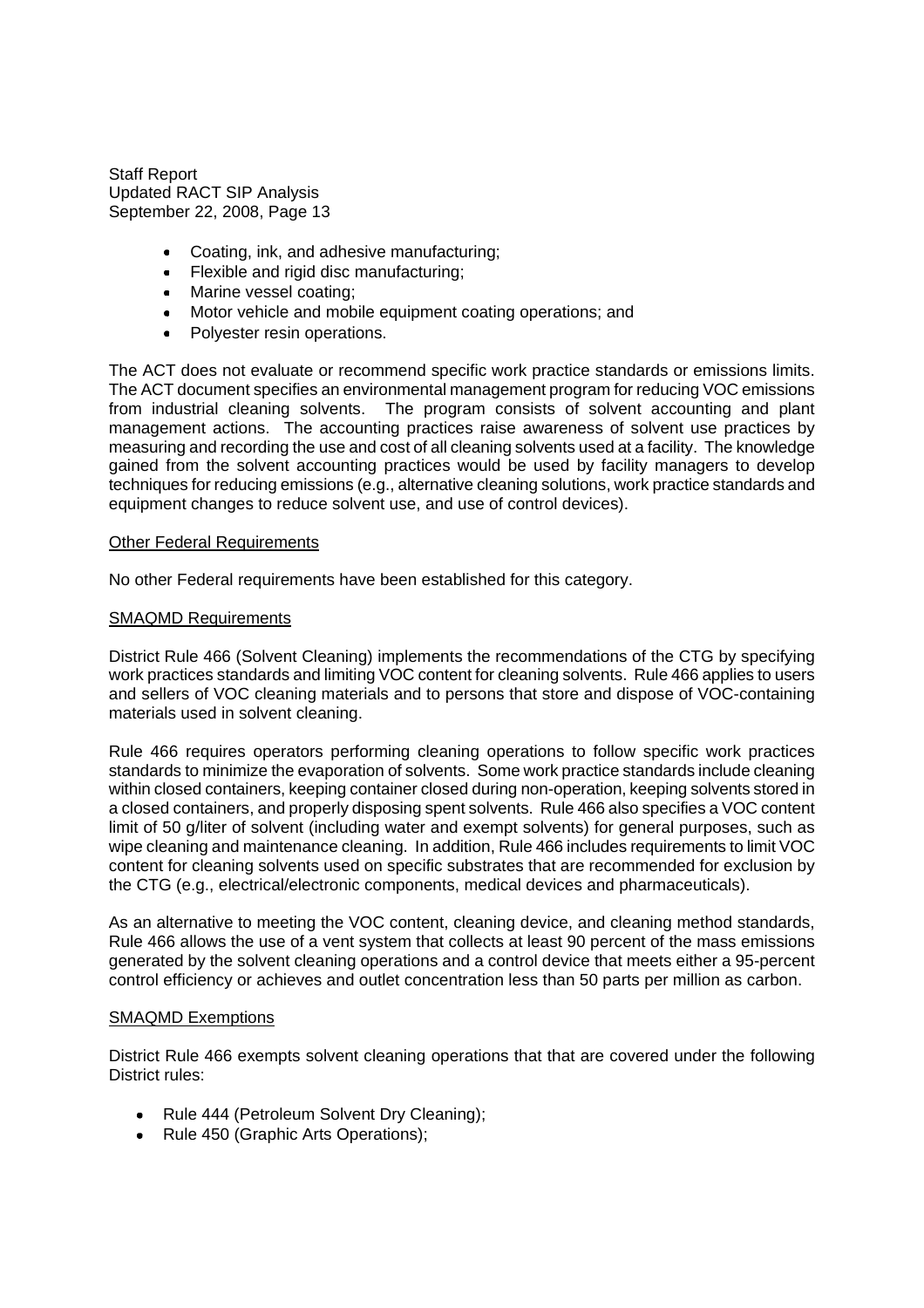- Coating, ink, and adhesive manufacturing;
- Flexible and rigid disc manufacturing;
- Marine vessel coating;
- Motor vehicle and mobile equipment coating operations; and
- Polyester resin operations.

The ACT does not evaluate or recommend specific work practice standards or emissions limits. The ACT document specifies an environmental management program for reducing VOC emissions from industrial cleaning solvents. The program consists of solvent accounting and plant management actions. The accounting practices raise awareness of solvent use practices by measuring and recording the use and cost of all cleaning solvents used at a facility. The knowledge gained from the solvent accounting practices would be used by facility managers to develop techniques for reducing emissions (e.g., alternative cleaning solutions, work practice standards and equipment changes to reduce solvent use, and use of control devices).

#### Other Federal Requirements

No other Federal requirements have been established for this category.

#### SMAQMD Requirements

District Rule 466 (Solvent Cleaning) implements the recommendations of the CTG by specifying work practices standards and limiting VOC content for cleaning solvents. Rule 466 applies to users and sellers of VOC cleaning materials and to persons that store and dispose of VOC-containing materials used in solvent cleaning.

Rule 466 requires operators performing cleaning operations to follow specific work practices standards to minimize the evaporation of solvents. Some work practice standards include cleaning within closed containers, keeping container closed during non-operation, keeping solvents stored in a closed containers, and properly disposing spent solvents. Rule 466 also specifies a VOC content limit of 50 g/liter of solvent (including water and exempt solvents) for general purposes, such as wipe cleaning and maintenance cleaning. In addition, Rule 466 includes requirements to limit VOC content for cleaning solvents used on specific substrates that are recommended for exclusion by the CTG (e.g., electrical/electronic components, medical devices and pharmaceuticals).

As an alternative to meeting the VOC content, cleaning device, and cleaning method standards, Rule 466 allows the use of a vent system that collects at least 90 percent of the mass emissions generated by the solvent cleaning operations and a control device that meets either a 95-percent control efficiency or achieves and outlet concentration less than 50 parts per million as carbon.

# SMAQMD Exemptions

District Rule 466 exempts solvent cleaning operations that that are covered under the following District rules:

- Rule 444 (Petroleum Solvent Dry Cleaning);
- Rule 450 (Graphic Arts Operations);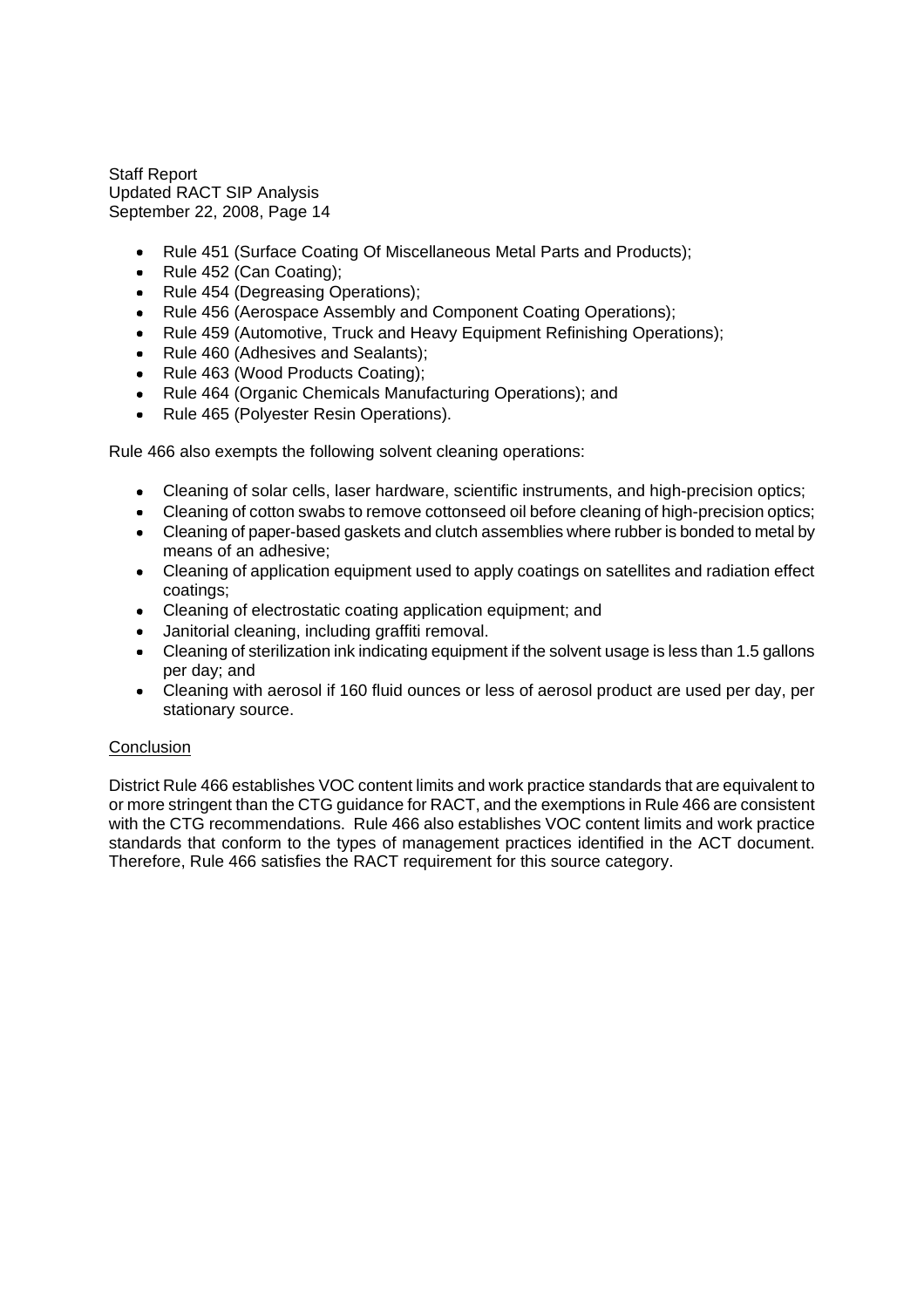- Rule 451 (Surface Coating Of Miscellaneous Metal Parts and Products);  $\bullet$
- Rule 452 (Can Coating);
- Rule 454 (Degreasing Operations);
- Rule 456 (Aerospace Assembly and Component Coating Operations);
- Rule 459 (Automotive, Truck and Heavy Equipment Refinishing Operations);
- Rule 460 (Adhesives and Sealants):
- Rule 463 (Wood Products Coating):
- Rule 464 (Organic Chemicals Manufacturing Operations); and
- Rule 465 (Polyester Resin Operations).

Rule 466 also exempts the following solvent cleaning operations:

- Cleaning of solar cells, laser hardware, scientific instruments, and high-precision optics;
- Cleaning of cotton swabs to remove cottonseed oil before cleaning of high-precision optics;
- Cleaning of paper-based gaskets and clutch assemblies where rubber is bonded to metal by means of an adhesive;
- Cleaning of application equipment used to apply coatings on satellites and radiation effect coatings;
- Cleaning of electrostatic coating application equipment; and
- Janitorial cleaning, including graffiti removal.
- Cleaning of sterilization ink indicating equipment if the solvent usage is less than 1.5 gallons per day; and
- Cleaning with aerosol if 160 fluid ounces or less of aerosol product are used per day, per  $\bullet$ stationary source.

# **Conclusion**

District Rule 466 establishes VOC content limits and work practice standards that are equivalent to or more stringent than the CTG guidance for RACT, and the exemptions in Rule 466 are consistent with the CTG recommendations. Rule 466 also establishes VOC content limits and work practice standards that conform to the types of management practices identified in the ACT document. Therefore, Rule 466 satisfies the RACT requirement for this source category.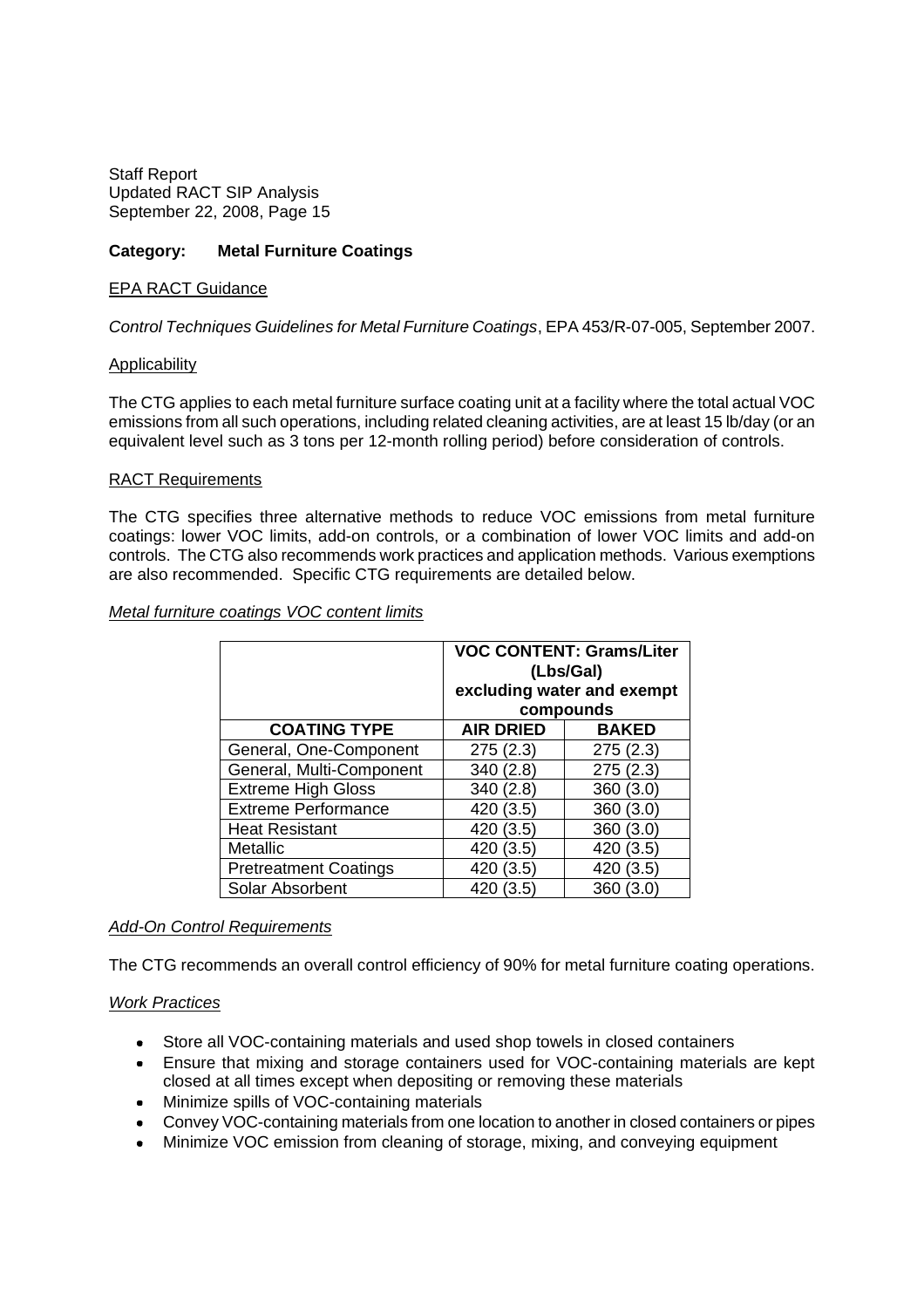# **Category: Metal Furniture Coatings**

# EPA RACT Guidance

*Control Techniques Guidelines for Metal Furniture Coatings*, EPA 453/R-07-005, September 2007.

# Applicability

The CTG applies to each metal furniture surface coating unit at a facility where the total actual VOC emissions from all such operations, including related cleaning activities, are at least 15 lb/day (or an equivalent level such as 3 tons per 12-month rolling period) before consideration of controls.

# RACT Requirements

The CTG specifies three alternative methods to reduce VOC emissions from metal furniture coatings: lower VOC limits, add-on controls, or a combination of lower VOC limits and add-on controls. The CTG also recommends work practices and application methods. Various exemptions are also recommended. Specific CTG requirements are detailed below.

# *Metal furniture coatings VOC content limits*

|                              | <b>VOC CONTENT: Grams/Liter</b><br>(Lbs/Gal)<br>excluding water and exempt<br>compounds |              |  |
|------------------------------|-----------------------------------------------------------------------------------------|--------------|--|
| <b>COATING TYPE</b>          | <b>AIR DRIED</b>                                                                        | <b>BAKED</b> |  |
| General, One-Component       | 275(2.3)                                                                                | 275(2.3)     |  |
| General, Multi-Component     | 340(2.8)                                                                                | 275(2.3)     |  |
| <b>Extreme High Gloss</b>    | 340(2.8)                                                                                | 360(3.0)     |  |
| <b>Extreme Performance</b>   | 420 (3.5)                                                                               | 360(3.0)     |  |
| <b>Heat Resistant</b>        | 420 (3.5)                                                                               | 360 (3.0)    |  |
| Metallic                     | 420 (3.5)                                                                               | 420 (3.5)    |  |
| <b>Pretreatment Coatings</b> | 420 (3.5)                                                                               | 420 (3.5)    |  |
| Solar Absorbent              | 420 (3.5)                                                                               | 360 (3.0)    |  |

# *Add-On Control Requirements*

The CTG recommends an overall control efficiency of 90% for metal furniture coating operations.

# *Work Practices*

- Store all VOC-containing materials and used shop towels in closed containers
- Ensure that mixing and storage containers used for VOC-containing materials are kept closed at all times except when depositing or removing these materials
- Minimize spills of VOC-containing materials
- Convey VOC-containing materials from one location to another in closed containers or pipes
- Minimize VOC emission from cleaning of storage, mixing, and conveying equipment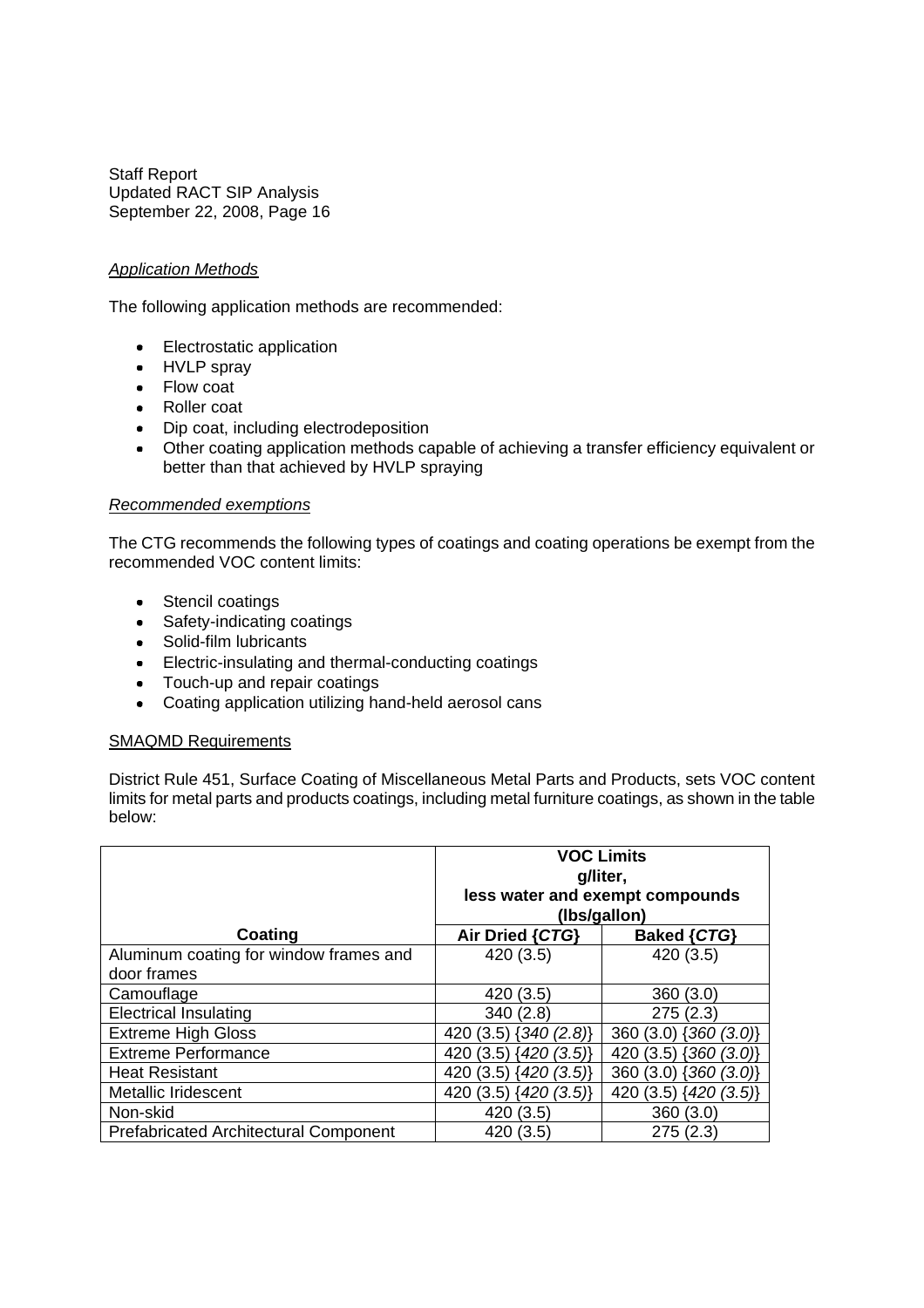# *Application Methods*

The following application methods are recommended:

- Electrostatic application
- HVLP spray
- Flow coat
- Roller coat
- Dip coat, including electrodeposition
- Other coating application methods capable of achieving a transfer efficiency equivalent or better than that achieved by HVLP spraying

#### *Recommended exemptions*

The CTG recommends the following types of coatings and coating operations be exempt from the recommended VOC content limits:

- Stencil coatings
- Safety-indicating coatings
- Solid-film lubricants
- Electric-insulating and thermal-conducting coatings
- Touch-up and repair coatings
- Coating application utilizing hand-held aerosol cans

# SMAQMD Requirements

District Rule 451, Surface Coating of Miscellaneous Metal Parts and Products, sets VOC content limits for metal parts and products coatings, including metal furniture coatings, as shown in the table below:

|                                              | <b>VOC Limits</b><br>g/liter,<br>less water and exempt compounds<br>(Ibs/gallon) |                               |
|----------------------------------------------|----------------------------------------------------------------------------------|-------------------------------|
| Coating                                      | Air Dried {CTG}                                                                  | <b>Baked {CTG}</b>            |
| Aluminum coating for window frames and       | 420 (3.5)                                                                        | 420(3.5)                      |
| door frames                                  |                                                                                  |                               |
| Camouflage                                   | 420 (3.5)                                                                        | 360(3.0)                      |
| <b>Electrical Insulating</b>                 | 340(2.8)                                                                         | 275(2.3)                      |
| <b>Extreme High Gloss</b>                    | $\{340 (2.8)\}$<br>420<br>(3.5)                                                  | $(3.0)$ {360 $(3.0)$ }<br>360 |
| <b>Extreme Performance</b>                   | $(3.5)$ {420 (3.5)}<br>420                                                       | 420<br>$(3.5)$ {360 $(3.0)$ } |
| <b>Heat Resistant</b>                        | $\{420(3.5)\}$<br>420 (3.5)                                                      | $(3.0)$ {360 $(3.0)$ }<br>360 |
| Metallic Iridescent                          | 420 (3.5) {420 (3.5)}                                                            | 420<br>$(3.5)$ {420 (3.5)}    |
| Non-skid                                     | 420(3.5)                                                                         | 360(3.0)                      |
| <b>Prefabricated Architectural Component</b> | 420 (3.5)                                                                        | 275(2.3)                      |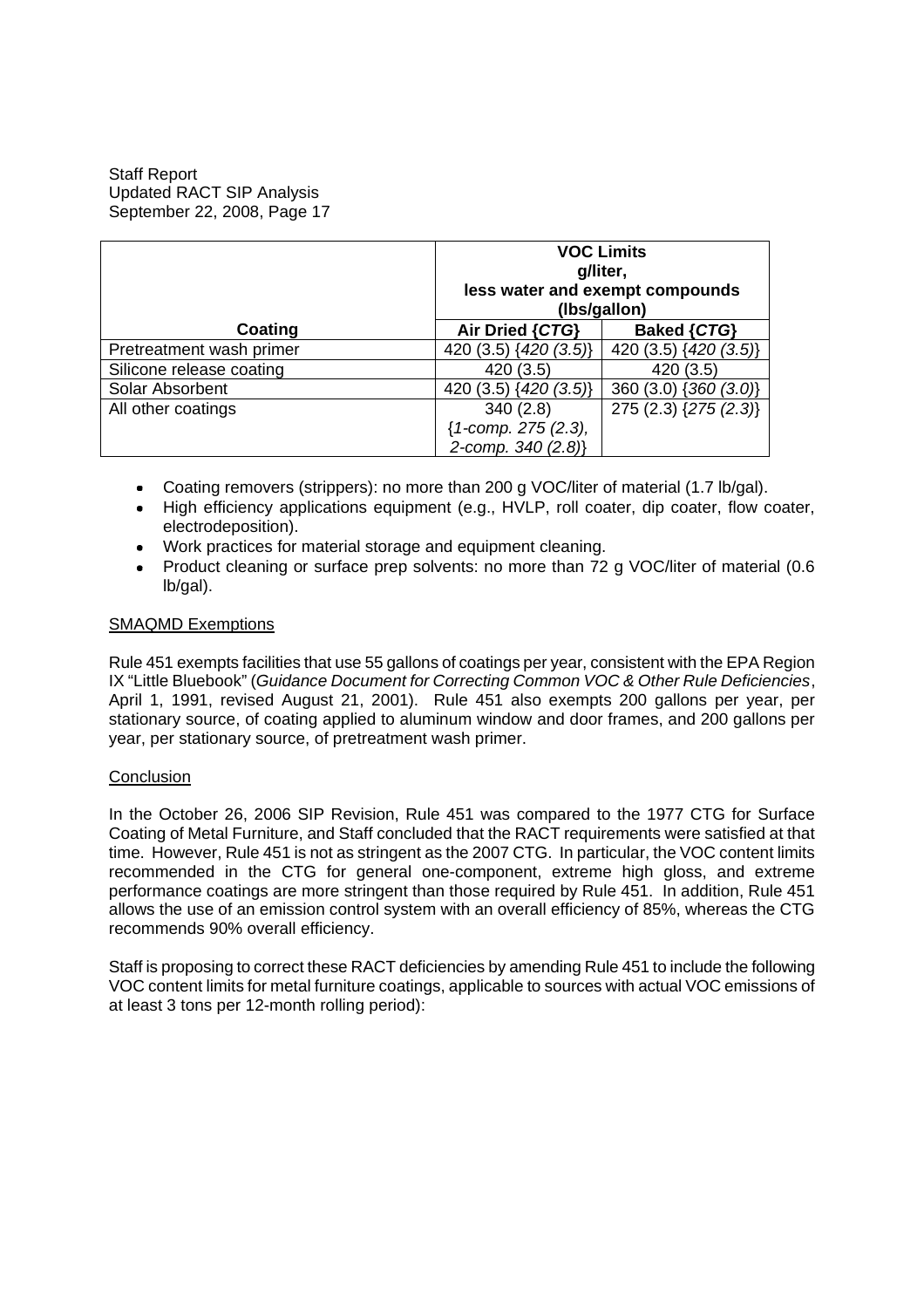|                          | <b>VOC Limits</b><br>g/liter,<br>less water and exempt compounds<br>(Ibs/gallon) |                           |
|--------------------------|----------------------------------------------------------------------------------|---------------------------|
| Coating                  | Air Dried {CTG}                                                                  | <b>Baked {CTG}</b>        |
| Pretreatment wash primer | 420 (3.5) $\{420 (3.5)\}$                                                        | 420 (3.5) $\{420 (3.5)\}$ |
| Silicone release coating | 420 (3.5)                                                                        | 420 (3.5)                 |
| Solar Absorbent          | 420 (3.5) {420 (3.5)}                                                            | 360 (3.0) {360 (3.0)}     |
| All other coatings       | 340(2.8)                                                                         | 275 (2.3) {275 (2.3)}     |
|                          | {1-comp. 275 (2.3),                                                              |                           |
|                          | 2-comp. 340 (2.8)                                                                |                           |

- Coating removers (strippers): no more than 200 g VOC/liter of material (1.7 lb/gal).
- High efficiency applications equipment (e.g., HVLP, roll coater, dip coater, flow coater, electrodeposition).
- Work practices for material storage and equipment cleaning.
- Product cleaning or surface prep solvents: no more than 72 g VOC/liter of material (0.6) lb/gal).

# SMAQMD Exemptions

Rule 451 exempts facilities that use 55 gallons of coatings per year, consistent with the EPA Region IX "Little Bluebook" (*Guidance Document for Correcting Common VOC & Other Rule Deficiencies*, April 1, 1991, revised August 21, 2001). Rule 451 also exempts 200 gallons per year, per stationary source, of coating applied to aluminum window and door frames, and 200 gallons per year, per stationary source, of pretreatment wash primer.

# **Conclusion**

In the October 26, 2006 SIP Revision, Rule 451 was compared to the 1977 CTG for Surface Coating of Metal Furniture, and Staff concluded that the RACT requirements were satisfied at that time. However, Rule 451 is not as stringent as the 2007 CTG. In particular, the VOC content limits recommended in the CTG for general one-component, extreme high gloss, and extreme performance coatings are more stringent than those required by Rule 451. In addition, Rule 451 allows the use of an emission control system with an overall efficiency of 85%, whereas the CTG recommends 90% overall efficiency.

Staff is proposing to correct these RACT deficiencies by amending Rule 451 to include the following VOC content limits for metal furniture coatings, applicable to sources with actual VOC emissions of at least 3 tons per 12-month rolling period):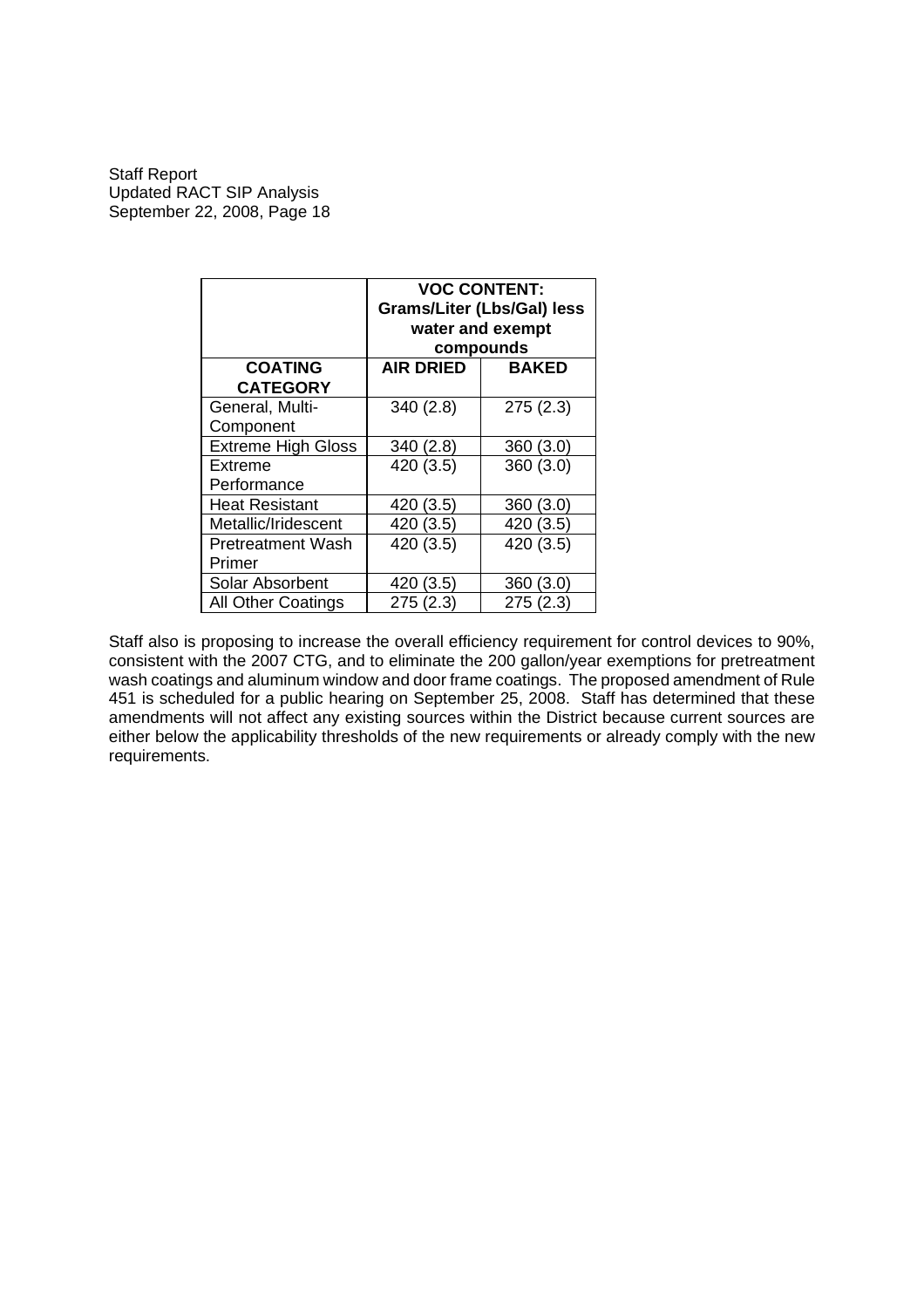|                                    | <b>VOC CONTENT:</b><br><b>Grams/Liter (Lbs/Gal) less</b><br>water and exempt<br>compounds |              |
|------------------------------------|-------------------------------------------------------------------------------------------|--------------|
| <b>COATING</b><br><b>CATEGORY</b>  | <b>AIR DRIED</b>                                                                          | <b>BAKED</b> |
| General, Multi-<br>Component       | 340(2.8)                                                                                  | 275(2.3)     |
| <b>Extreme High Gloss</b>          | 340 (2.8)                                                                                 | 360(3.0)     |
| Extreme<br>Performance             | 420 (3.5)                                                                                 | 360(3.0)     |
| <b>Heat Resistant</b>              | 420 (3.5)                                                                                 | 360 (3.0)    |
| Metallic/Iridescent                | 420 (3.5)                                                                                 | 420 (3.5)    |
| <b>Pretreatment Wash</b><br>Primer | 420 (3.5)                                                                                 | 420 (3.5)    |
| Solar Absorbent                    | 420<br>(3.5)                                                                              | 360<br>(3.0) |
| <b>All Other Coatings</b>          | 275 (2.3)                                                                                 | 275(2.3)     |

Staff also is proposing to increase the overall efficiency requirement for control devices to 90%, consistent with the 2007 CTG, and to eliminate the 200 gallon/year exemptions for pretreatment wash coatings and aluminum window and door frame coatings. The proposed amendment of Rule 451 is scheduled for a public hearing on September 25, 2008. Staff has determined that these amendments will not affect any existing sources within the District because current sources are either below the applicability thresholds of the new requirements or already comply with the new requirements.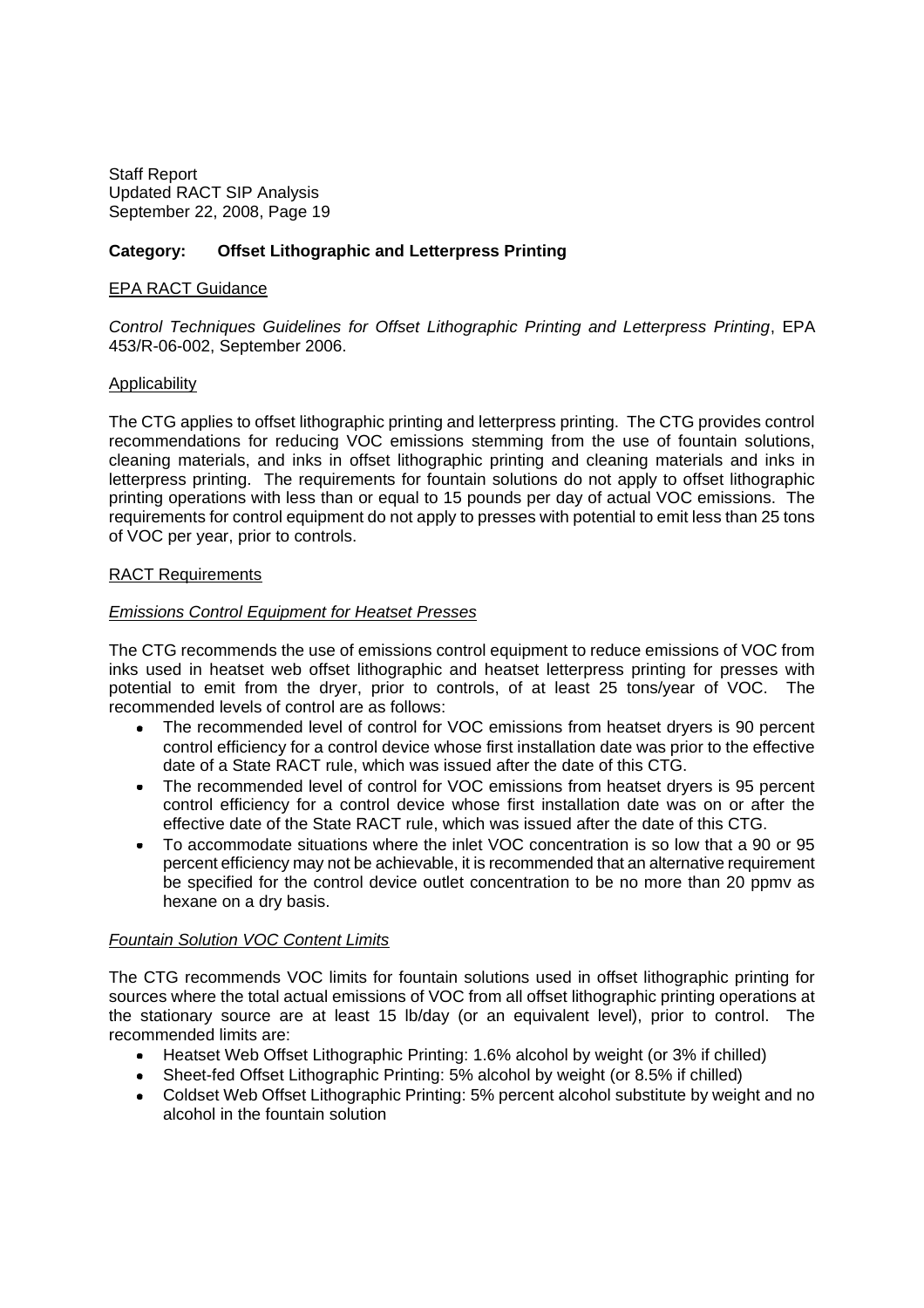# **Category: Offset Lithographic and Letterpress Printing**

# EPA RACT Guidance

*Control Techniques Guidelines for Offset Lithographic Printing and Letterpress Printing*, EPA 453/R-06-002, September 2006.

#### Applicability

The CTG applies to offset lithographic printing and letterpress printing. The CTG provides control recommendations for reducing VOC emissions stemming from the use of fountain solutions, cleaning materials, and inks in offset lithographic printing and cleaning materials and inks in letterpress printing. The requirements for fountain solutions do not apply to offset lithographic printing operations with less than or equal to 15 pounds per day of actual VOC emissions. The requirements for control equipment do not apply to presses with potential to emit less than 25 tons of VOC per year, prior to controls.

#### RACT Requirements

#### *Emissions Control Equipment for Heatset Presses*

The CTG recommends the use of emissions control equipment to reduce emissions of VOC from inks used in heatset web offset lithographic and heatset letterpress printing for presses with potential to emit from the dryer, prior to controls, of at least 25 tons/year of VOC. The recommended levels of control are as follows:

- The recommended level of control for VOC emissions from heatset dryers is 90 percent control efficiency for a control device whose first installation date was prior to the effective date of a State RACT rule, which was issued after the date of this CTG.
- The recommended level of control for VOC emissions from heatset dryers is 95 percent  $\bullet$ control efficiency for a control device whose first installation date was on or after the effective date of the State RACT rule, which was issued after the date of this CTG.
- To accommodate situations where the inlet VOC concentration is so low that a 90 or 95 percent efficiency may not be achievable, it is recommended that an alternative requirement be specified for the control device outlet concentration to be no more than 20 ppmv as hexane on a dry basis.

# *Fountain Solution VOC Content Limits*

The CTG recommends VOC limits for fountain solutions used in offset lithographic printing for sources where the total actual emissions of VOC from all offset lithographic printing operations at the stationary source are at least 15 lb/day (or an equivalent level), prior to control. The recommended limits are:

- Heatset Web Offset Lithographic Printing: 1.6% alcohol by weight (or 3% if chilled)
- Sheet-fed Offset Lithographic Printing: 5% alcohol by weight (or 8.5% if chilled)
- Coldset Web Offset Lithographic Printing: 5% percent alcohol substitute by weight and no alcohol in the fountain solution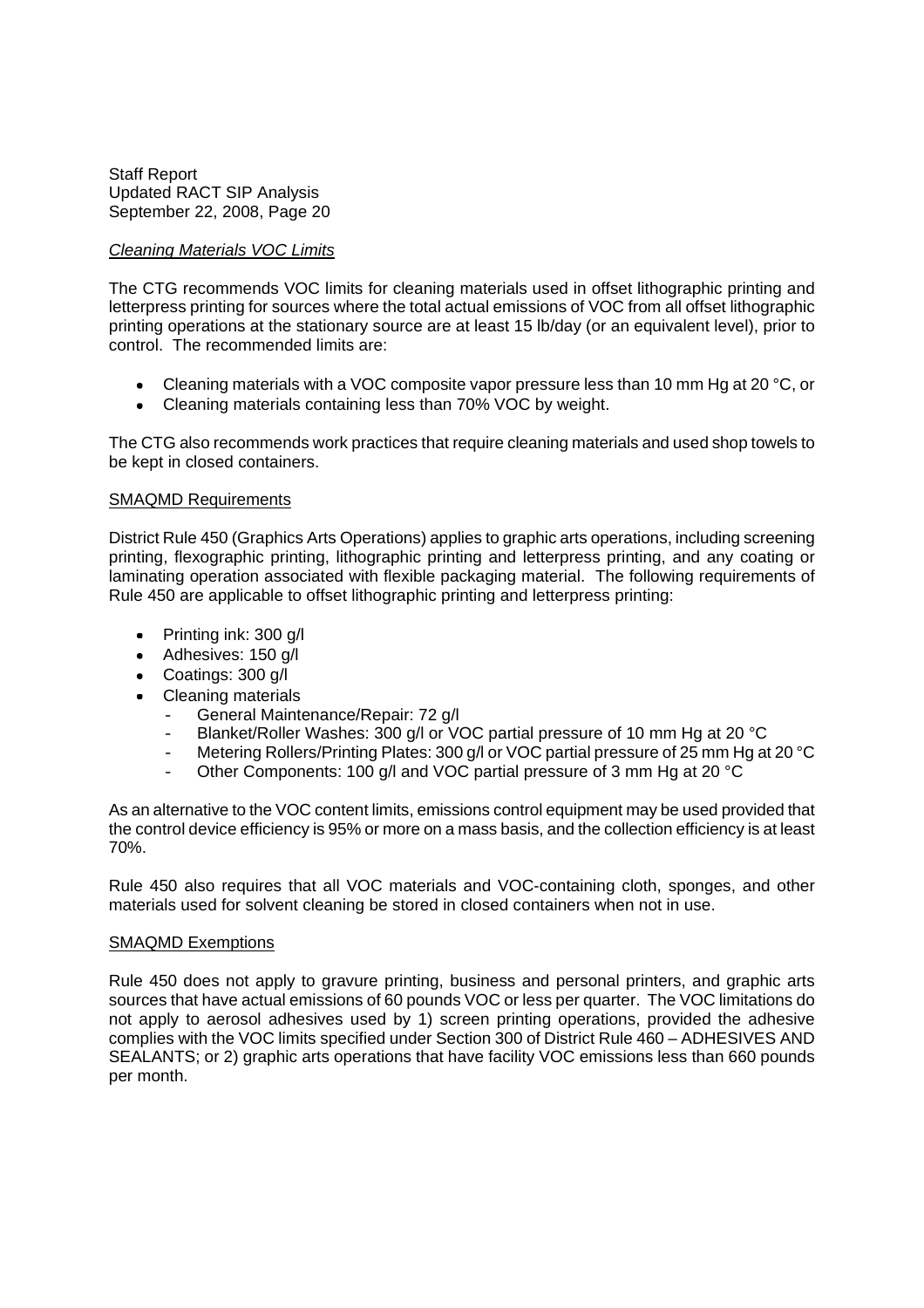# *Cleaning Materials VOC Limits*

The CTG recommends VOC limits for cleaning materials used in offset lithographic printing and letterpress printing for sources where the total actual emissions of VOC from all offset lithographic printing operations at the stationary source are at least 15 lb/day (or an equivalent level), prior to control. The recommended limits are:

- Cleaning materials with a VOC composite vapor pressure less than 10 mm Hg at 20 °C, or
- Cleaning materials containing less than 70% VOC by weight.

The CTG also recommends work practices that require cleaning materials and used shop towels to be kept in closed containers.

# SMAQMD Requirements

District Rule 450 (Graphics Arts Operations) applies to graphic arts operations, including screening printing, flexographic printing, lithographic printing and letterpress printing, and any coating or laminating operation associated with flexible packaging material. The following requirements of Rule 450 are applicable to offset lithographic printing and letterpress printing:

- Printing ink: 300 g/l
- Adhesives: 150 g/l
- Coatings: 300 g/l
- Cleaning materials
	- General Maintenance/Repair: 72 g/l
	- Blanket/Roller Washes: 300 g/l or VOC partial pressure of 10 mm Hg at 20 °C
	- Metering Rollers/Printing Plates: 300 g/l or VOC partial pressure of 25 mm Hg at 20 °C
	- Other Components: 100 g/l and VOC partial pressure of 3 mm Hg at 20 °C

As an alternative to the VOC content limits, emissions control equipment may be used provided that the control device efficiency is 95% or more on a mass basis, and the collection efficiency is at least 70%.

Rule 450 also requires that all VOC materials and VOC-containing cloth, sponges, and other materials used for solvent cleaning be stored in closed containers when not in use.

# SMAQMD Exemptions

Rule 450 does not apply to gravure printing, business and personal printers, and graphic arts sources that have actual emissions of 60 pounds VOC or less per quarter. The VOC limitations do not apply to aerosol adhesives used by 1) screen printing operations, provided the adhesive complies with the VOC limits specified under Section 300 of District Rule 460 – ADHESIVES AND SEALANTS; or 2) graphic arts operations that have facility VOC emissions less than 660 pounds per month.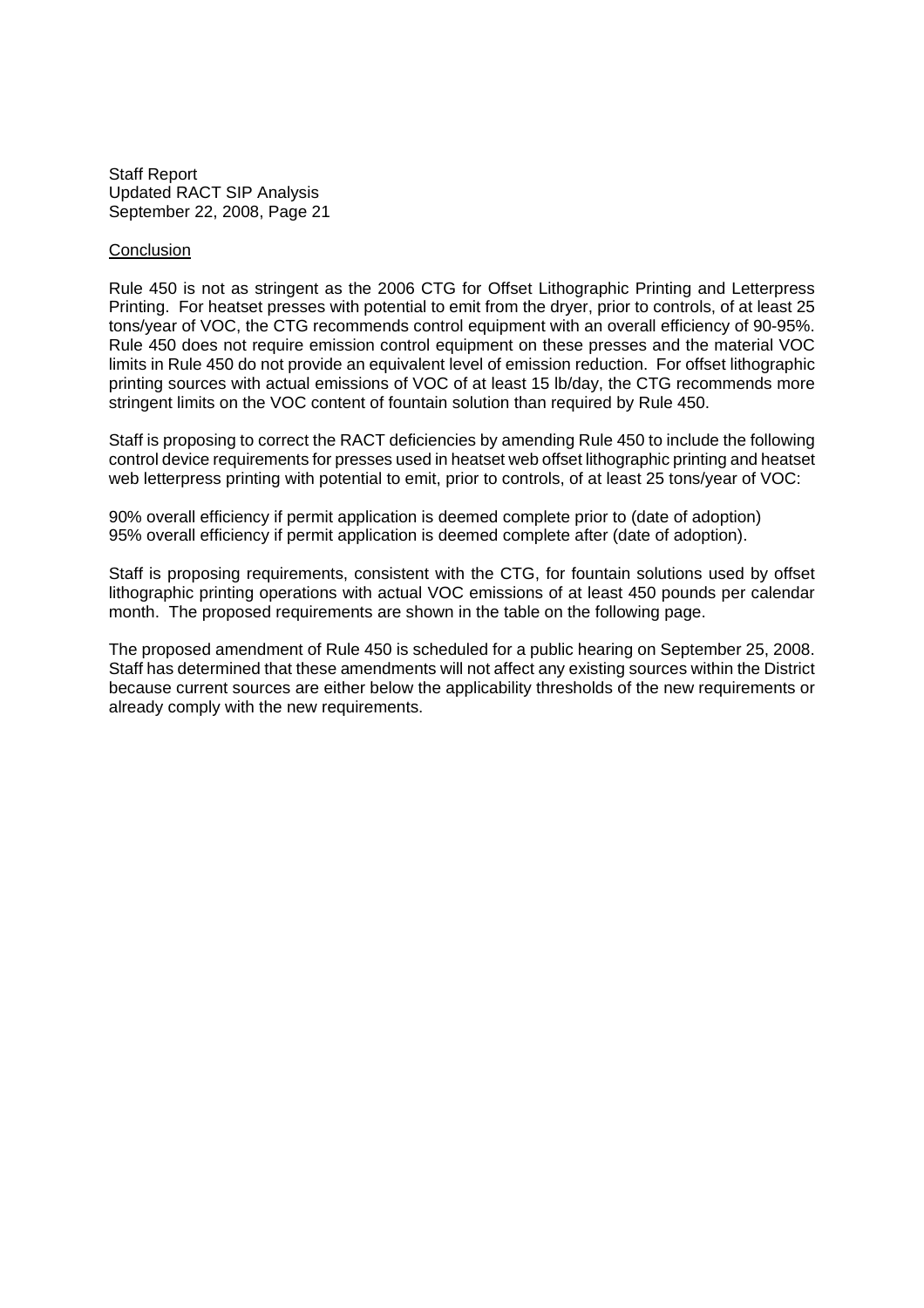#### **Conclusion**

Rule 450 is not as stringent as the 2006 CTG for Offset Lithographic Printing and Letterpress Printing. For heatset presses with potential to emit from the dryer, prior to controls, of at least 25 tons/year of VOC, the CTG recommends control equipment with an overall efficiency of 90-95%. Rule 450 does not require emission control equipment on these presses and the material VOC limits in Rule 450 do not provide an equivalent level of emission reduction. For offset lithographic printing sources with actual emissions of VOC of at least 15 lb/day, the CTG recommends more stringent limits on the VOC content of fountain solution than required by Rule 450.

Staff is proposing to correct the RACT deficiencies by amending Rule 450 to include the following control device requirements for presses used in heatset web offset lithographic printing and heatset web letterpress printing with potential to emit, prior to controls, of at least 25 tons/year of VOC:

90% overall efficiency if permit application is deemed complete prior to (date of adoption) 95% overall efficiency if permit application is deemed complete after (date of adoption).

Staff is proposing requirements, consistent with the CTG, for fountain solutions used by offset lithographic printing operations with actual VOC emissions of at least 450 pounds per calendar month. The proposed requirements are shown in the table on the following page.

The proposed amendment of Rule 450 is scheduled for a public hearing on September 25, 2008. Staff has determined that these amendments will not affect any existing sources within the District because current sources are either below the applicability thresholds of the new requirements or already comply with the new requirements.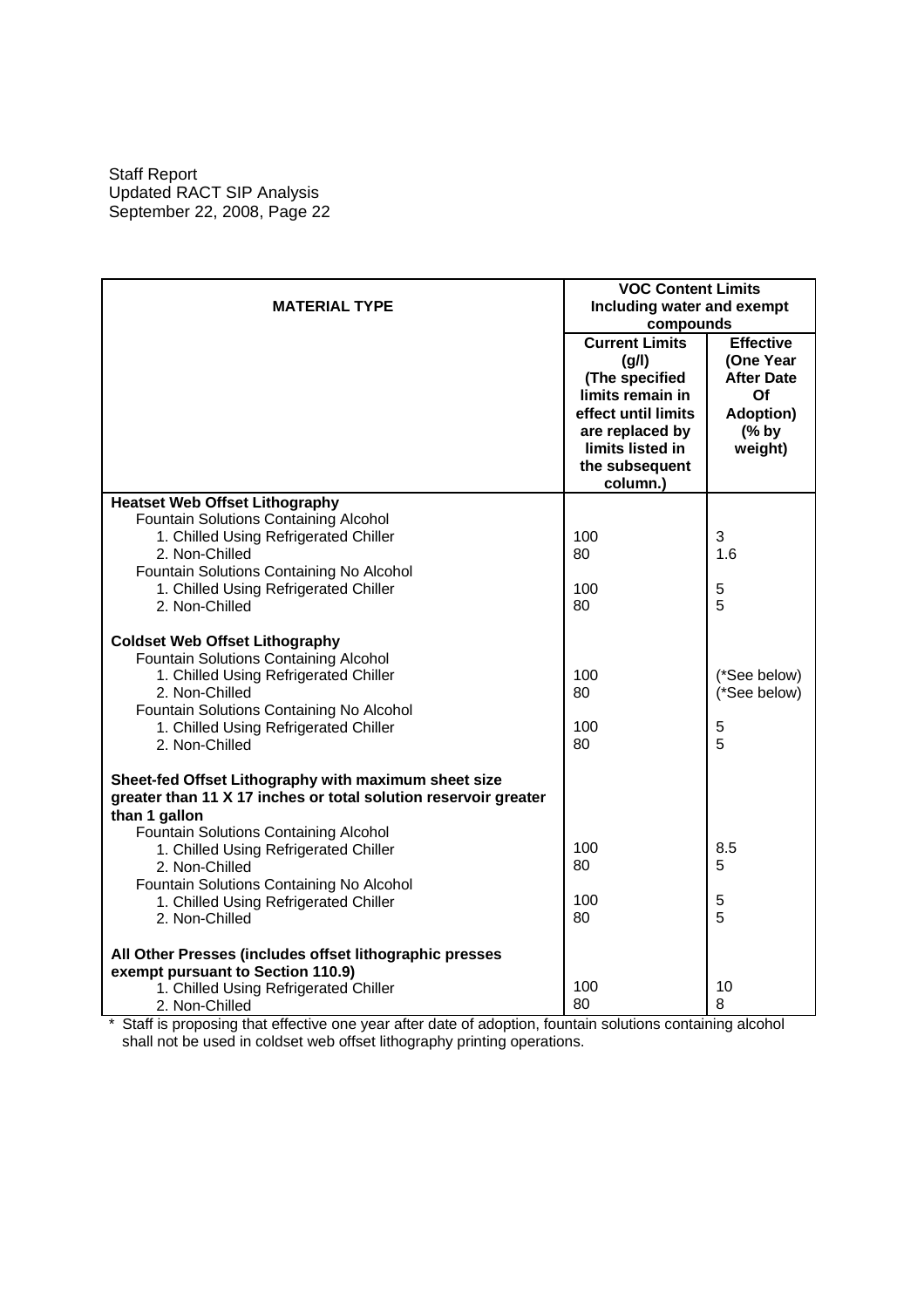|                                                                 | <b>VOC Content Limits</b>  |                   |
|-----------------------------------------------------------------|----------------------------|-------------------|
| <b>MATERIAL TYPE</b>                                            | Including water and exempt |                   |
|                                                                 | compounds                  |                   |
|                                                                 | <b>Current Limits</b>      | <b>Effective</b>  |
|                                                                 | (g/l)                      | (One Year         |
|                                                                 | (The specified             | <b>After Date</b> |
|                                                                 | limits remain in           | Of                |
|                                                                 | effect until limits        | <b>Adoption)</b>  |
|                                                                 | are replaced by            | $(%$ by           |
|                                                                 | limits listed in           | weight)           |
|                                                                 | the subsequent<br>column.) |                   |
| <b>Heatset Web Offset Lithography</b>                           |                            |                   |
| Fountain Solutions Containing Alcohol                           |                            |                   |
| 1. Chilled Using Refrigerated Chiller                           | 100                        | 3                 |
| 2. Non-Chilled                                                  | 80                         | 1.6               |
| Fountain Solutions Containing No Alcohol                        |                            |                   |
| 1. Chilled Using Refrigerated Chiller                           | 100                        | 5                 |
| 2. Non-Chilled                                                  | 80                         | 5                 |
|                                                                 |                            |                   |
| <b>Coldset Web Offset Lithography</b>                           |                            |                   |
| Fountain Solutions Containing Alcohol                           |                            |                   |
| 1. Chilled Using Refrigerated Chiller                           | 100                        | (*See below)      |
| 2. Non-Chilled                                                  | 80                         | (*See below)      |
| Fountain Solutions Containing No Alcohol                        | 100                        | 5                 |
| 1. Chilled Using Refrigerated Chiller<br>2. Non-Chilled         | 80                         | 5                 |
|                                                                 |                            |                   |
| Sheet-fed Offset Lithography with maximum sheet size            |                            |                   |
| greater than 11 X 17 inches or total solution reservoir greater |                            |                   |
| than 1 gallon                                                   |                            |                   |
| Fountain Solutions Containing Alcohol                           |                            |                   |
| 1. Chilled Using Refrigerated Chiller                           | 100                        | 8.5               |
| 2. Non-Chilled                                                  | 80                         | 5                 |
| Fountain Solutions Containing No Alcohol                        |                            |                   |
| 1. Chilled Using Refrigerated Chiller                           | 100                        | 5<br>5            |
| 2. Non-Chilled                                                  | 80                         |                   |
| All Other Presses (includes offset lithographic presses         |                            |                   |
| exempt pursuant to Section 110.9)                               |                            |                   |
| 1. Chilled Using Refrigerated Chiller                           | 100                        | 10                |
| 2. Non-Chilled                                                  | 80                         | 8                 |

\* Staff is proposing that effective one year after date of adoption, fountain solutions containing alcohol shall not be used in coldset web offset lithography printing operations.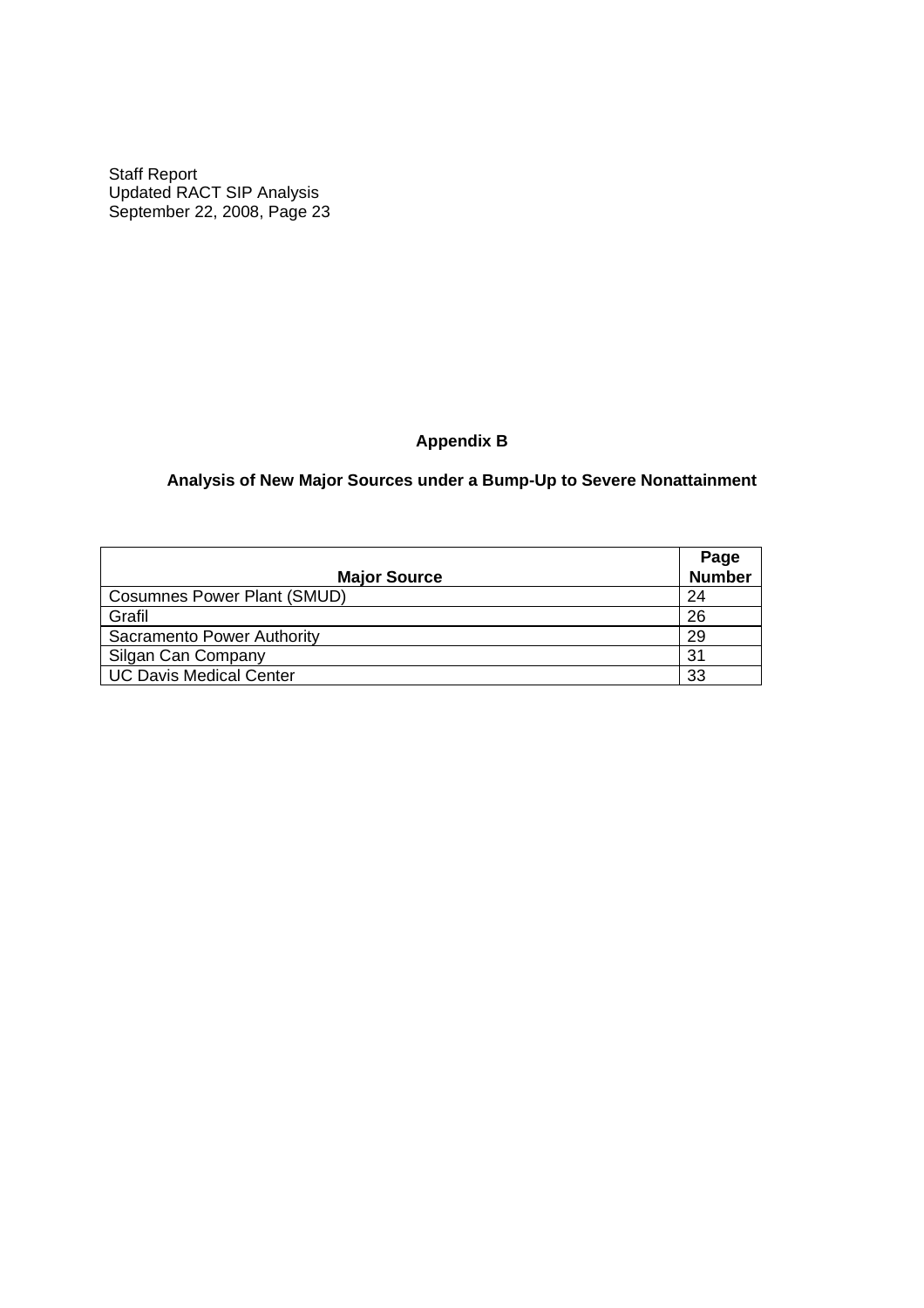# **Appendix B**

# **Analysis of New Major Sources under a Bump-Up to Severe Nonattainment**

|                                    | Page          |
|------------------------------------|---------------|
| <b>Major Source</b>                | <b>Number</b> |
| <b>Cosumnes Power Plant (SMUD)</b> | 24            |
| Grafil                             | 26            |
| Sacramento Power Authority         | 29            |
| Silgan Can Company                 | 31            |
| UC Davis Medical Center            | 33            |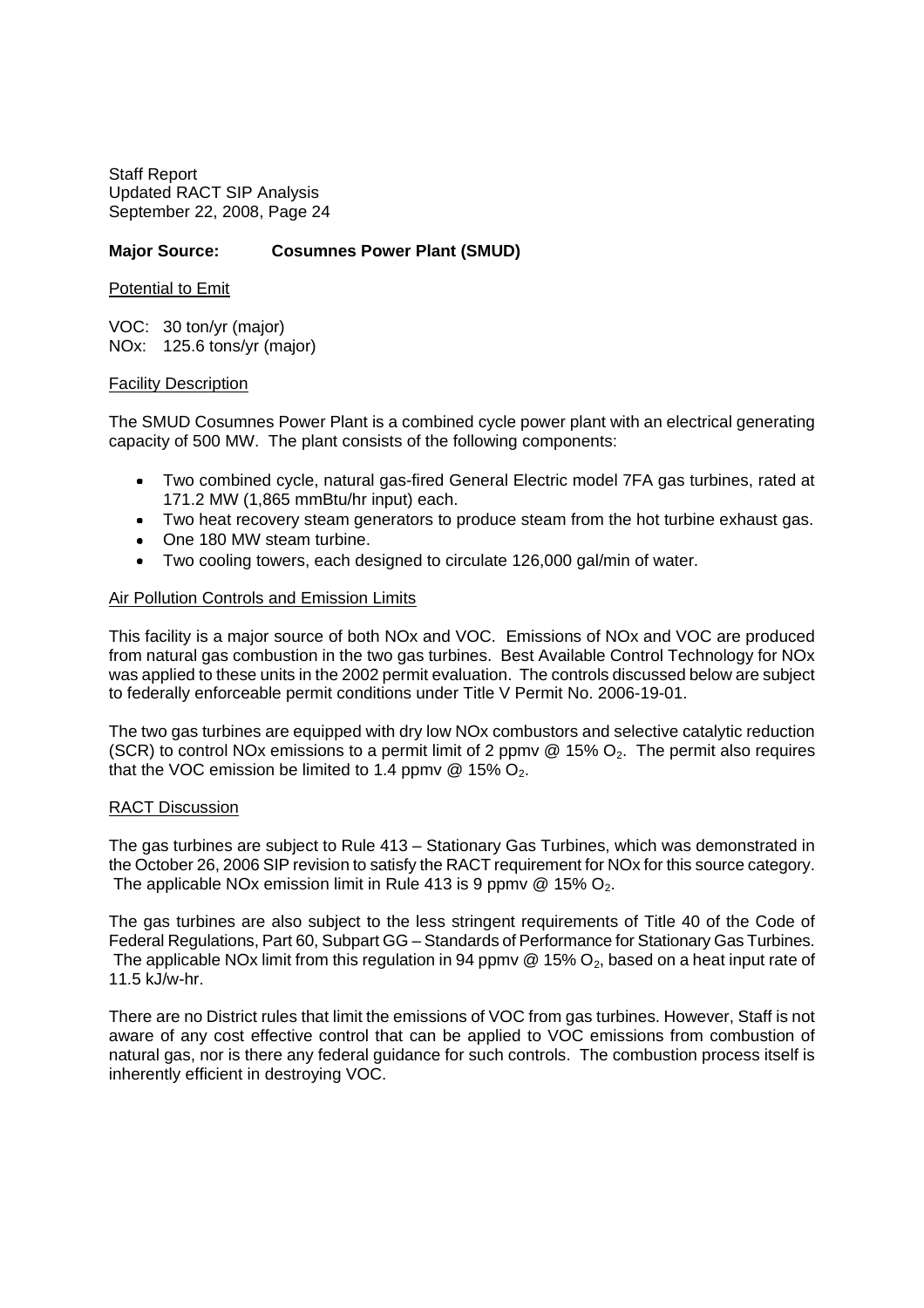# **Major Source: Cosumnes Power Plant (SMUD)**

# Potential to Emit

VOC: 30 ton/yr (major) NOx: 125.6 tons/yr (major)

#### Facility Description

The SMUD Cosumnes Power Plant is a combined cycle power plant with an electrical generating capacity of 500 MW. The plant consists of the following components:

- Two combined cycle, natural gas-fired General Electric model 7FA gas turbines, rated at 171.2 MW (1,865 mmBtu/hr input) each.
- Two heat recovery steam generators to produce steam from the hot turbine exhaust gas.
- One 180 MW steam turbine.
- Two cooling towers, each designed to circulate 126,000 gal/min of water.

#### Air Pollution Controls and Emission Limits

This facility is a major source of both NOx and VOC. Emissions of NOx and VOC are produced from natural gas combustion in the two gas turbines. Best Available Control Technology for NOx was applied to these units in the 2002 permit evaluation. The controls discussed below are subject to federally enforceable permit conditions under Title V Permit No. 2006-19-01.

The two gas turbines are equipped with dry low NOx combustors and selective catalytic reduction (SCR) to control NOx emissions to a permit limit of 2 ppmv  $@$  15%  $O_2$ . The permit also requires that the VOC emission be limited to 1.4 ppmv  $@$  15%  $O_2$ .

#### RACT Discussion

The gas turbines are subject to Rule 413 – Stationary Gas Turbines, which was demonstrated in the October 26, 2006 SIP revision to satisfy the RACT requirement for NOx for this source category. The applicable NOx emission limit in Rule 413 is 9 ppmv  $@$  15% O<sub>2</sub>.

The gas turbines are also subject to the less stringent requirements of Title 40 of the Code of Federal Regulations, Part 60, Subpart GG – Standards of Performance for Stationary Gas Turbines. The applicable NOx limit from this regulation in 94 ppmv  $@$  15%  $O_2$ , based on a heat input rate of 11.5 kJ/w-hr.

There are no District rules that limit the emissions of VOC from gas turbines. However, Staff is not aware of any cost effective control that can be applied to VOC emissions from combustion of natural gas, nor is there any federal guidance for such controls. The combustion process itself is inherently efficient in destroying VOC.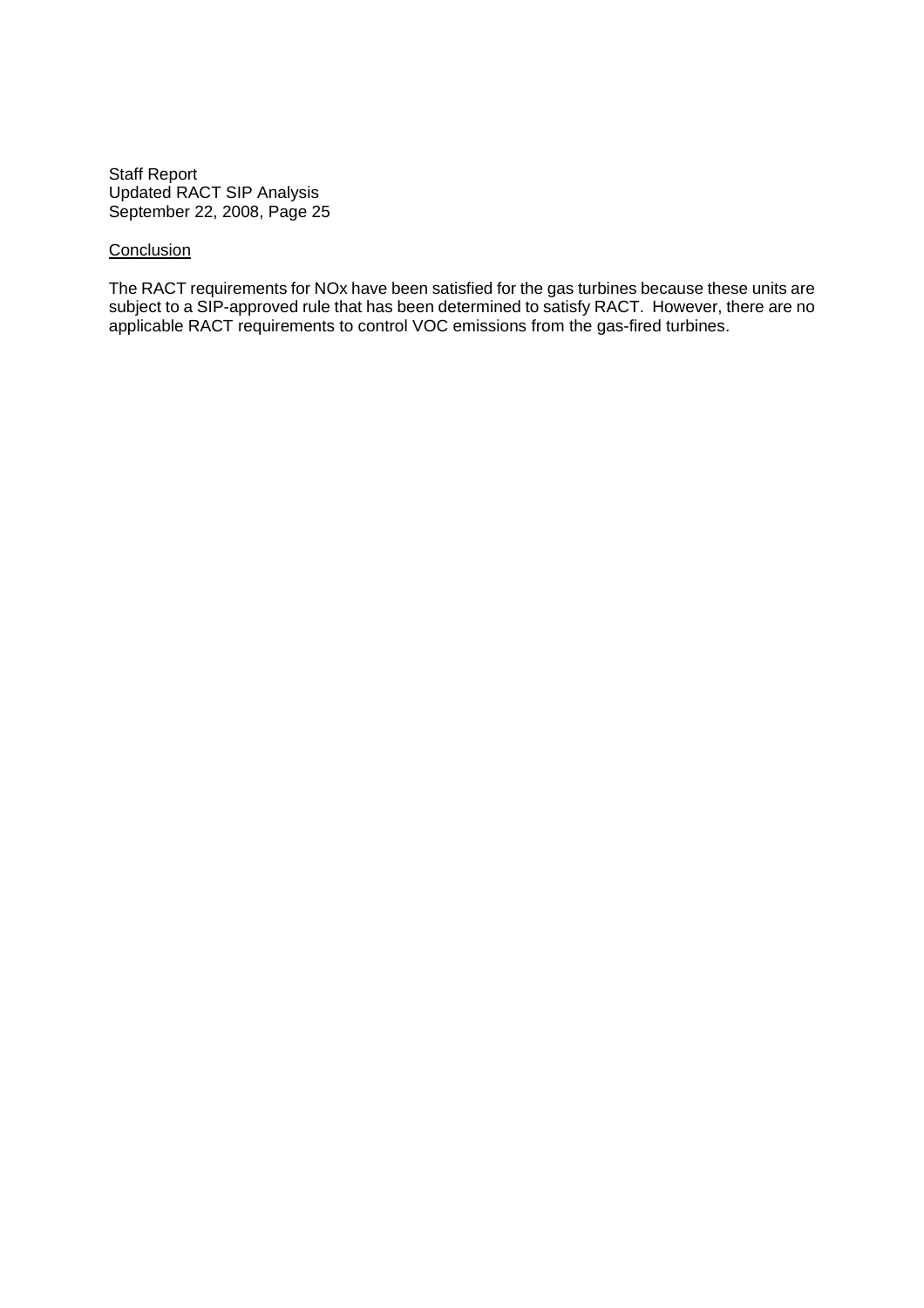# **Conclusion**

The RACT requirements for NOx have been satisfied for the gas turbines because these units are subject to a SIP-approved rule that has been determined to satisfy RACT. However, there are no applicable RACT requirements to control VOC emissions from the gas-fired turbines.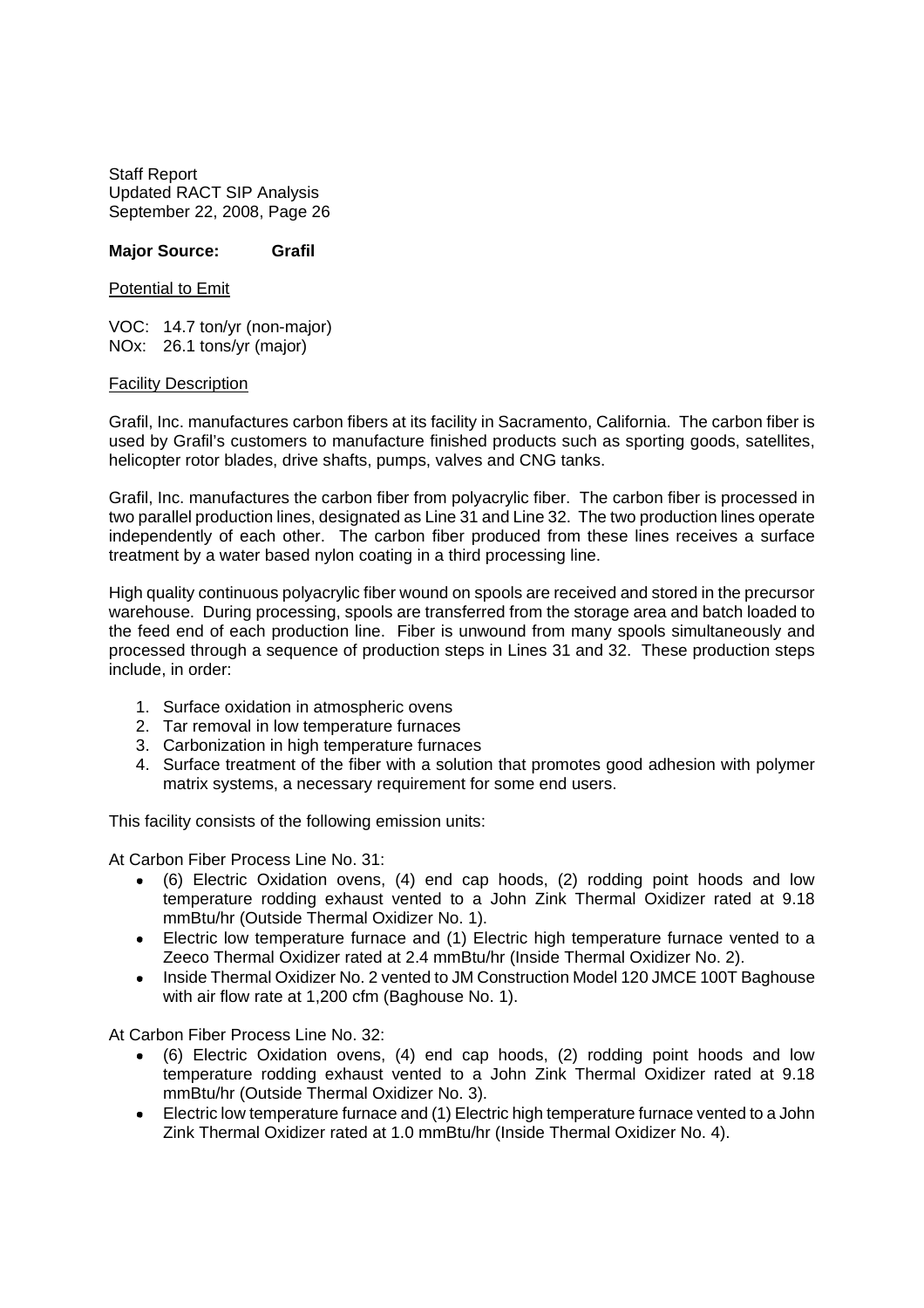# **Major Source: Grafil**

Potential to Emit

VOC: 14.7 ton/yr (non-major) NOx: 26.1 tons/yr (major)

#### Facility Description

Grafil, Inc. manufactures carbon fibers at its facility in Sacramento, California. The carbon fiber is used by Grafil's customers to manufacture finished products such as sporting goods, satellites, helicopter rotor blades, drive shafts, pumps, valves and CNG tanks.

Grafil, Inc. manufactures the carbon fiber from polyacrylic fiber. The carbon fiber is processed in two parallel production lines, designated as Line 31 and Line 32. The two production lines operate independently of each other. The carbon fiber produced from these lines receives a surface treatment by a water based nylon coating in a third processing line.

High quality continuous polyacrylic fiber wound on spools are received and stored in the precursor warehouse. During processing, spools are transferred from the storage area and batch loaded to the feed end of each production line. Fiber is unwound from many spools simultaneously and processed through a sequence of production steps in Lines 31 and 32. These production steps include, in order:

- 1. Surface oxidation in atmospheric ovens
- 2. Tar removal in low temperature furnaces
- 3. Carbonization in high temperature furnaces
- 4. Surface treatment of the fiber with a solution that promotes good adhesion with polymer matrix systems, a necessary requirement for some end users.

This facility consists of the following emission units:

At Carbon Fiber Process Line No. 31:

- (6) Electric Oxidation ovens, (4) end cap hoods, (2) rodding point hoods and low temperature rodding exhaust vented to a John Zink Thermal Oxidizer rated at 9.18 mmBtu/hr (Outside Thermal Oxidizer No. 1).
- Electric low temperature furnace and (1) Electric high temperature furnace vented to a Zeeco Thermal Oxidizer rated at 2.4 mmBtu/hr (Inside Thermal Oxidizer No. 2).
- Inside Thermal Oxidizer No. 2 vented to JM Construction Model 120 JMCE 100T Baghouse with air flow rate at 1,200 cfm (Baghouse No. 1).

At Carbon Fiber Process Line No. 32:

- (6) Electric Oxidation ovens, (4) end cap hoods, (2) rodding point hoods and low temperature rodding exhaust vented to a John Zink Thermal Oxidizer rated at 9.18 mmBtu/hr (Outside Thermal Oxidizer No. 3).
- Electric low temperature furnace and (1) Electric high temperature furnace vented to a John  $\bullet$ Zink Thermal Oxidizer rated at 1.0 mmBtu/hr (Inside Thermal Oxidizer No. 4).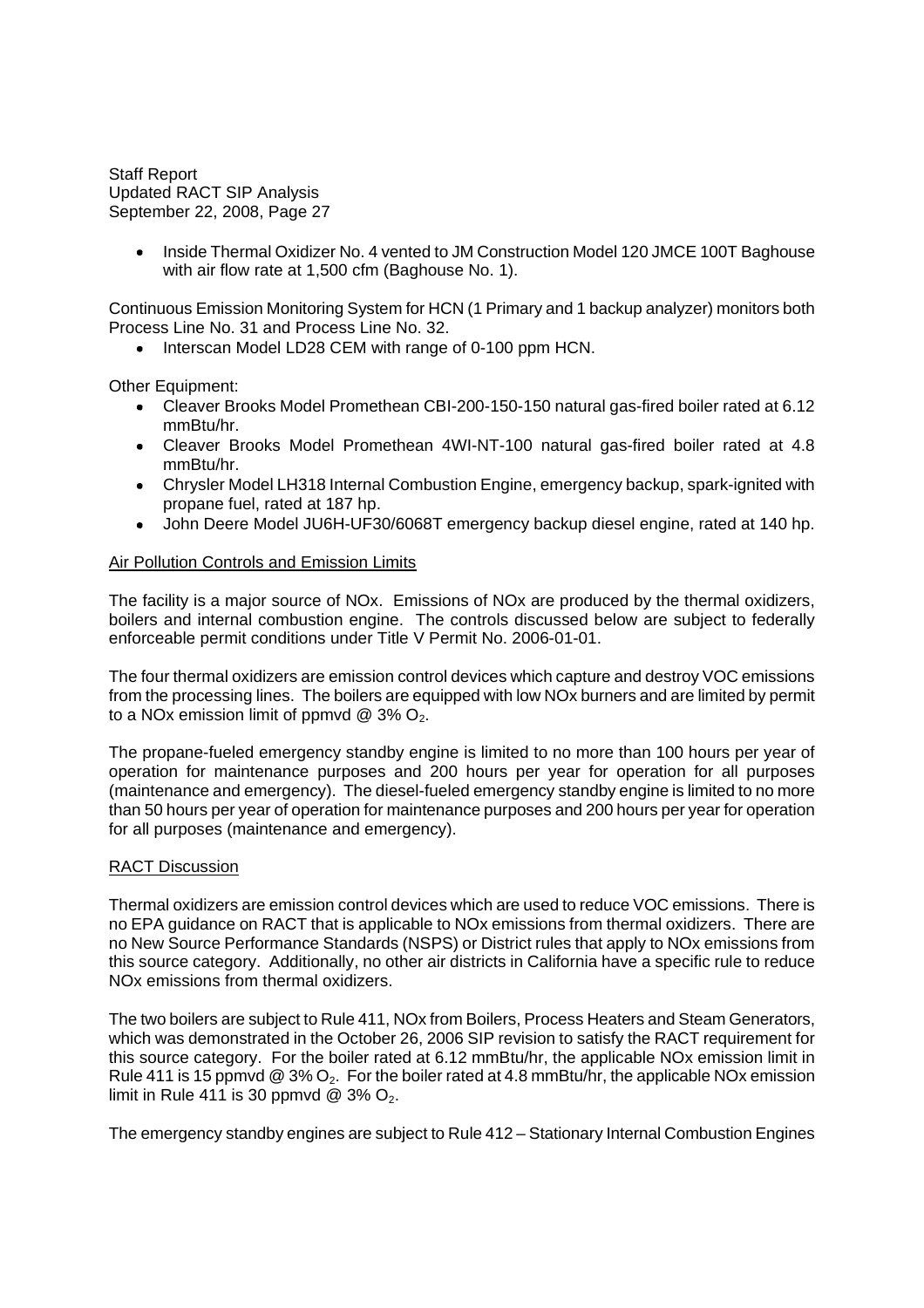> Inside Thermal Oxidizer No. 4 vented to JM Construction Model 120 JMCE 100T Baghouse with air flow rate at 1,500 cfm (Baghouse No. 1).

Continuous Emission Monitoring System for HCN (1 Primary and 1 backup analyzer) monitors both Process Line No. 31 and Process Line No. 32.

• Interscan Model LD28 CEM with range of 0-100 ppm HCN.

Other Equipment:

- Cleaver Brooks Model Promethean CBI-200-150-150 natural gas-fired boiler rated at 6.12 mmBtu/hr.
- Cleaver Brooks Model Promethean 4WI-NT-100 natural gas-fired boiler rated at 4.8 mmBtu/hr.
- Chrysler Model LH318 Internal Combustion Engine, emergency backup, spark-ignited with propane fuel, rated at 187 hp.
- John Deere Model JU6H-UF30/6068T emergency backup diesel engine, rated at 140 hp.

# Air Pollution Controls and Emission Limits

The facility is a major source of NOx. Emissions of NOx are produced by the thermal oxidizers, boilers and internal combustion engine. The controls discussed below are subject to federally enforceable permit conditions under Title V Permit No. 2006-01-01.

The four thermal oxidizers are emission control devices which capture and destroy VOC emissions from the processing lines. The boilers are equipped with low NOx burners and are limited by permit to a NOx emission limit of ppmvd  $@$  3% O<sub>2</sub>.

The propane-fueled emergency standby engine is limited to no more than 100 hours per year of operation for maintenance purposes and 200 hours per year for operation for all purposes (maintenance and emergency). The diesel-fueled emergency standby engine is limited to no more than 50 hours per year of operation for maintenance purposes and 200 hours per year for operation for all purposes (maintenance and emergency).

# RACT Discussion

Thermal oxidizers are emission control devices which are used to reduce VOC emissions. There is no EPA guidance on RACT that is applicable to NOx emissions from thermal oxidizers. There are no New Source Performance Standards (NSPS) or District rules that apply to NOx emissions from this source category. Additionally, no other air districts in California have a specific rule to reduce NOx emissions from thermal oxidizers.

The two boilers are subject to Rule 411, NOx from Boilers, Process Heaters and Steam Generators, which was demonstrated in the October 26, 2006 SIP revision to satisfy the RACT requirement for this source category. For the boiler rated at 6.12 mmBtu/hr, the applicable NOx emission limit in Rule 411 is 15 ppmvd  $@3\%O_2$ . For the boiler rated at 4.8 mmBtu/hr, the applicable NOx emission limit in Rule 411 is 30 ppmvd @ 3%  $O_2$ .

The emergency standby engines are subject to Rule 412 – Stationary Internal Combustion Engines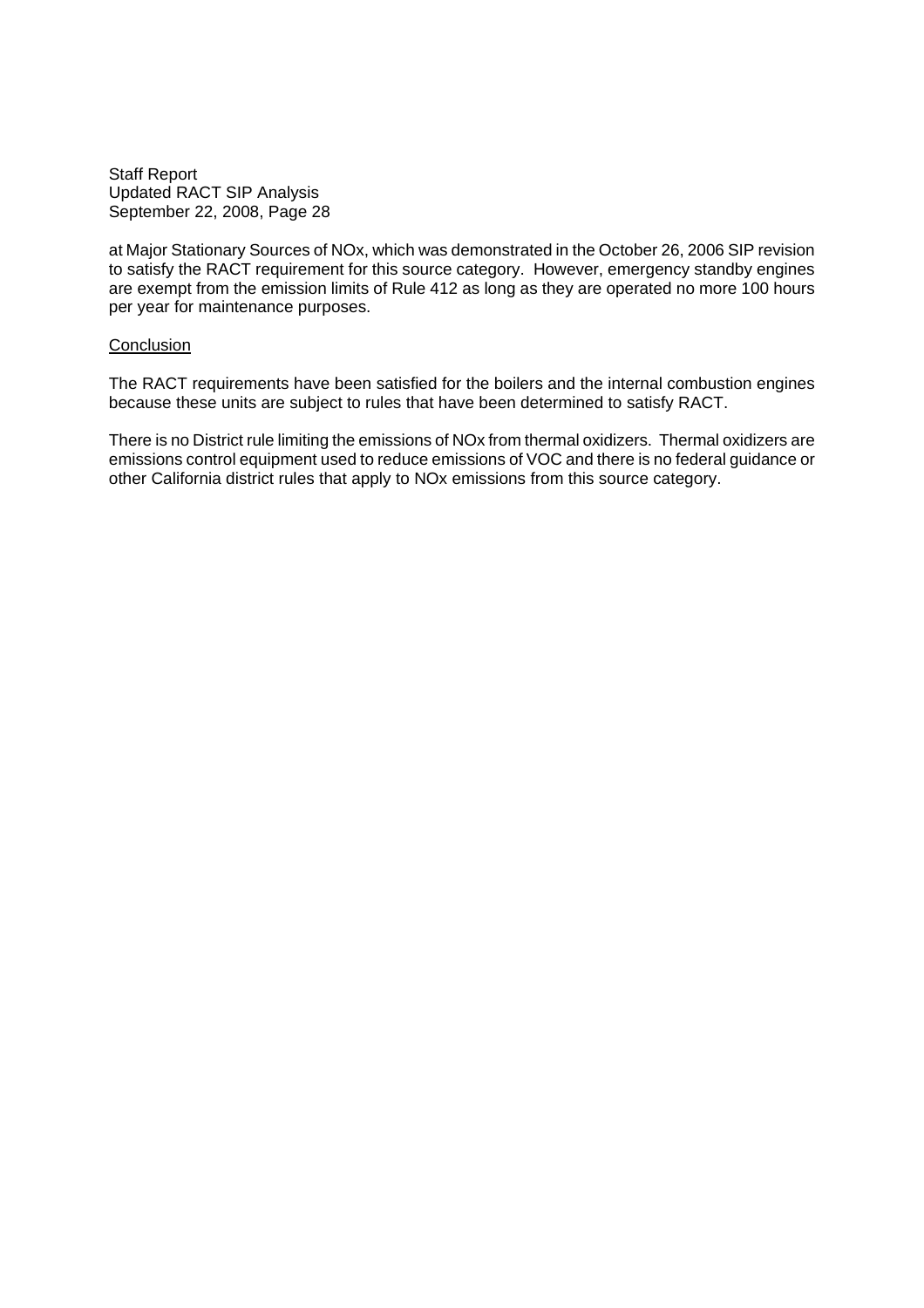at Major Stationary Sources of NOx, which was demonstrated in the October 26, 2006 SIP revision to satisfy the RACT requirement for this source category. However, emergency standby engines are exempt from the emission limits of Rule 412 as long as they are operated no more 100 hours per year for maintenance purposes.

#### **Conclusion**

The RACT requirements have been satisfied for the boilers and the internal combustion engines because these units are subject to rules that have been determined to satisfy RACT.

There is no District rule limiting the emissions of NOx from thermal oxidizers. Thermal oxidizers are emissions control equipment used to reduce emissions of VOC and there is no federal guidance or other California district rules that apply to NOx emissions from this source category.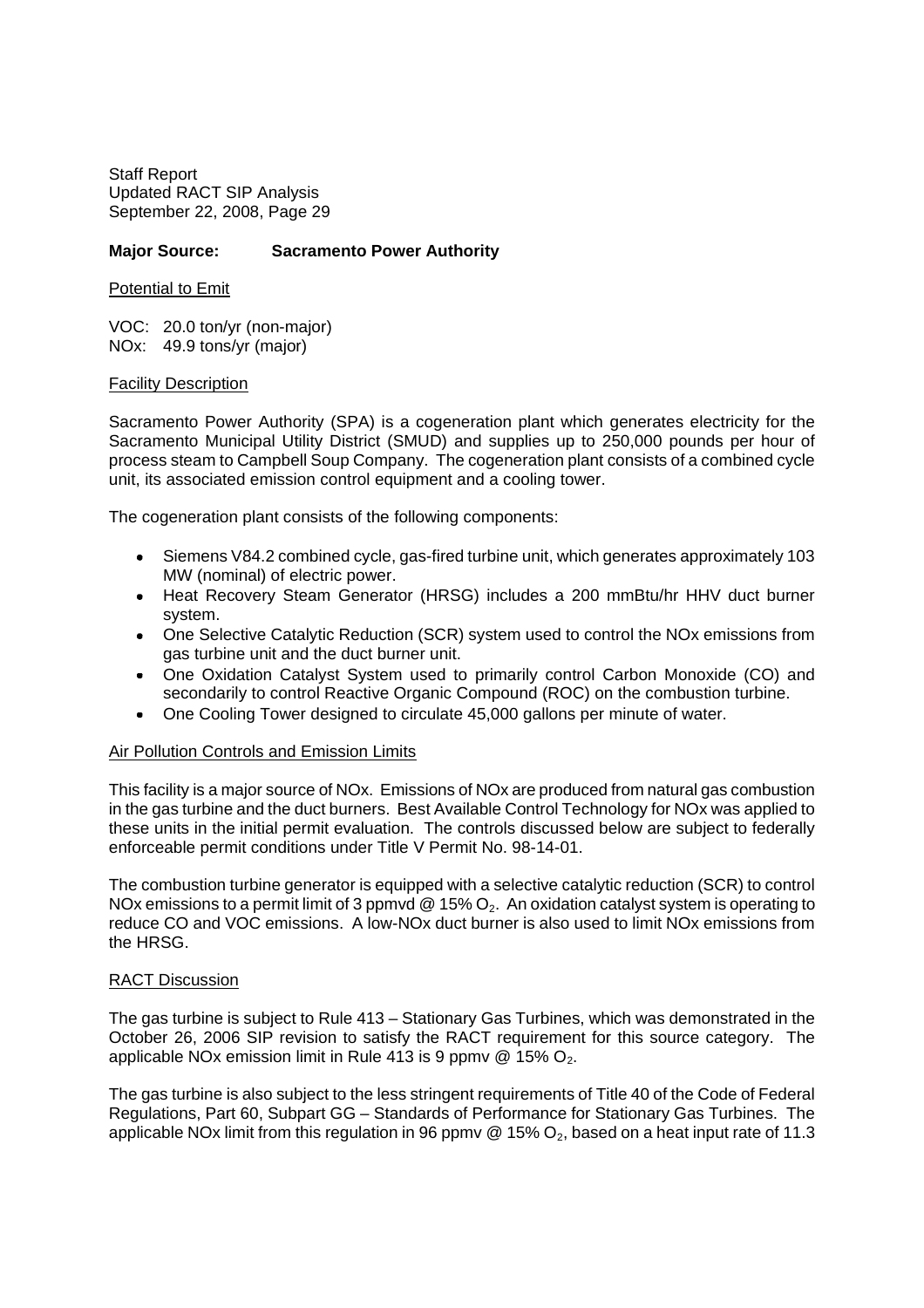# **Major Source: Sacramento Power Authority**

Potential to Emit

VOC: 20.0 ton/yr (non-major) NOx: 49.9 tons/yr (major)

#### Facility Description

Sacramento Power Authority (SPA) is a cogeneration plant which generates electricity for the Sacramento Municipal Utility District (SMUD) and supplies up to 250,000 pounds per hour of process steam to Campbell Soup Company. The cogeneration plant consists of a combined cycle unit, its associated emission control equipment and a cooling tower.

The cogeneration plant consists of the following components:

- $\bullet$ Siemens V84.2 combined cycle, gas-fired turbine unit, which generates approximately 103 MW (nominal) of electric power.
- Heat Recovery Steam Generator (HRSG) includes a 200 mmBtu/hr HHV duct burner system.
- One Selective Catalytic Reduction (SCR) system used to control the NOx emissions from gas turbine unit and the duct burner unit.
- One Oxidation Catalyst System used to primarily control Carbon Monoxide (CO) and secondarily to control Reactive Organic Compound (ROC) on the combustion turbine.
- One Cooling Tower designed to circulate 45,000 gallons per minute of water.

# Air Pollution Controls and Emission Limits

This facility is a major source of NOx. Emissions of NOx are produced from natural gas combustion in the gas turbine and the duct burners. Best Available Control Technology for NOx was applied to these units in the initial permit evaluation. The controls discussed below are subject to federally enforceable permit conditions under Title V Permit No. 98-14-01.

The combustion turbine generator is equipped with a selective catalytic reduction (SCR) to control NOx emissions to a permit limit of 3 ppmvd @ 15%  $O_2$ . An oxidation catalyst system is operating to reduce CO and VOC emissions. A low-NOx duct burner is also used to limit NOx emissions from the HRSG.

#### RACT Discussion

The gas turbine is subject to Rule 413 – Stationary Gas Turbines, which was demonstrated in the October 26, 2006 SIP revision to satisfy the RACT requirement for this source category. The applicable NOx emission limit in Rule 413 is 9 ppmv  $@$  15% O<sub>2</sub>.

The gas turbine is also subject to the less stringent requirements of Title 40 of the Code of Federal Regulations, Part 60, Subpart GG – Standards of Performance for Stationary Gas Turbines. The applicable NOx limit from this regulation in 96 ppmy @ 15% O<sub>2</sub>, based on a heat input rate of 11.3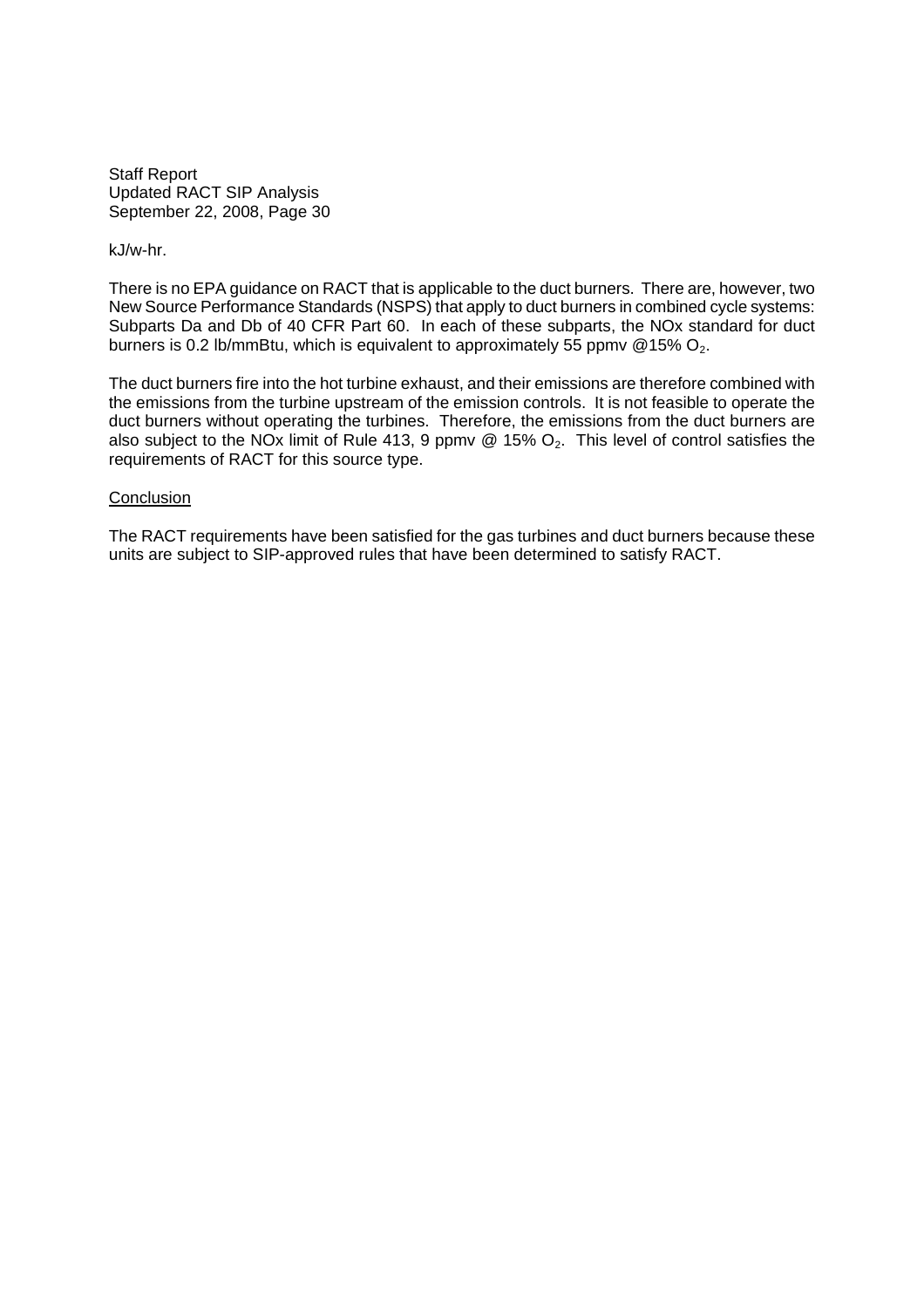kJ/w-hr.

There is no EPA guidance on RACT that is applicable to the duct burners. There are, however, two New Source Performance Standards (NSPS) that apply to duct burners in combined cycle systems: Subparts Da and Db of 40 CFR Part 60. In each of these subparts, the NOx standard for duct burners is 0.2 lb/mmBtu, which is equivalent to approximately 55 ppmv  $@15\%$  O<sub>2</sub>.

The duct burners fire into the hot turbine exhaust, and their emissions are therefore combined with the emissions from the turbine upstream of the emission controls. It is not feasible to operate the duct burners without operating the turbines. Therefore, the emissions from the duct burners are also subject to the NOx limit of Rule 413, 9 ppmv  $@$  15%  $O_2$ . This level of control satisfies the requirements of RACT for this source type.

#### **Conclusion**

The RACT requirements have been satisfied for the gas turbines and duct burners because these units are subject to SIP-approved rules that have been determined to satisfy RACT.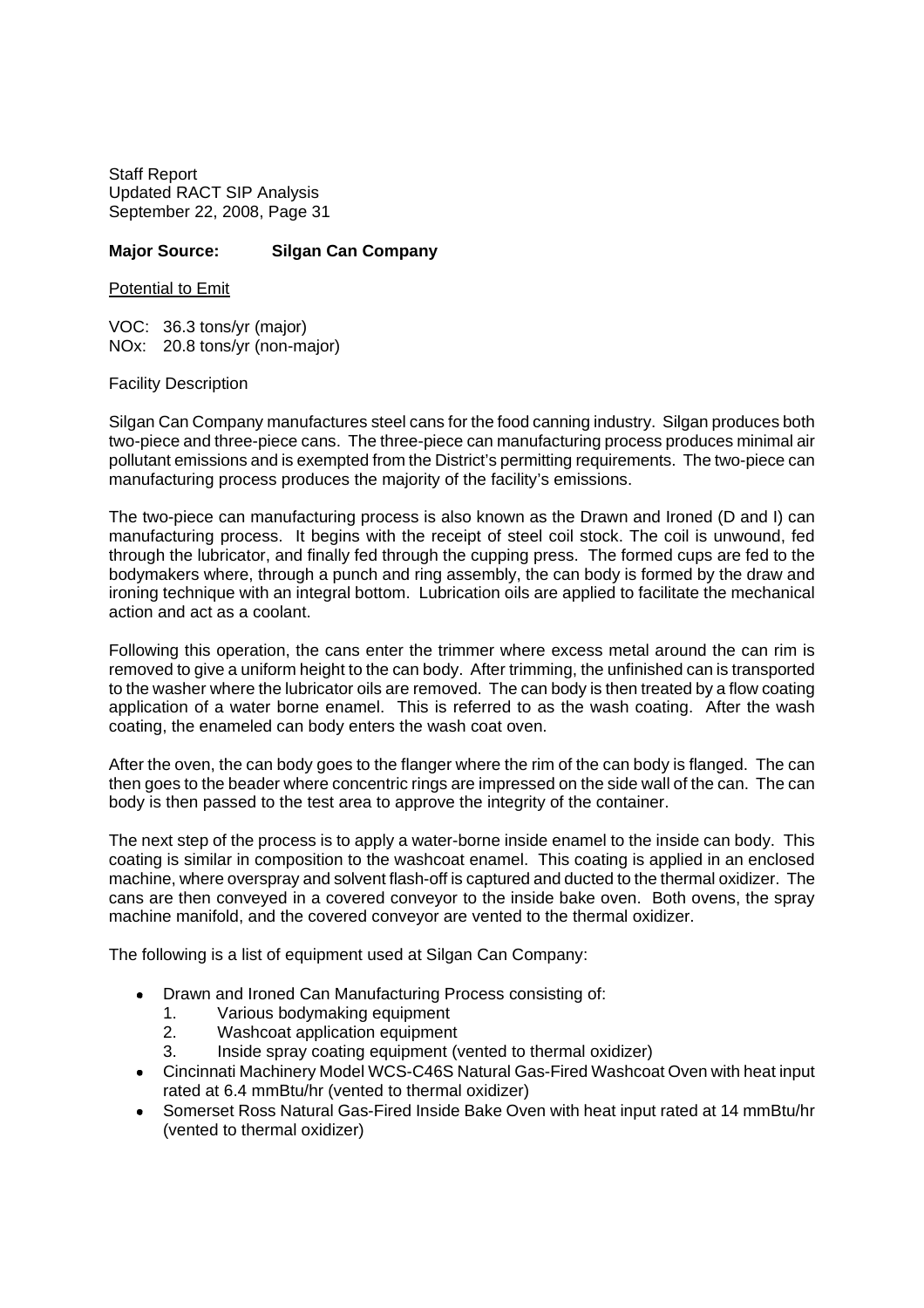# **Major Source: Silgan Can Company**

Potential to Emit

VOC: 36.3 tons/yr (major) NOx: 20.8 tons/yr (non-major)

Facility Description

Silgan Can Company manufactures steel cans for the food canning industry. Silgan produces both two-piece and three-piece cans. The three-piece can manufacturing process produces minimal air pollutant emissions and is exempted from the District's permitting requirements. The two-piece can manufacturing process produces the majority of the facility's emissions.

The two-piece can manufacturing process is also known as the Drawn and Ironed (D and I) can manufacturing process. It begins with the receipt of steel coil stock. The coil is unwound, fed through the lubricator, and finally fed through the cupping press. The formed cups are fed to the bodymakers where, through a punch and ring assembly, the can body is formed by the draw and ironing technique with an integral bottom. Lubrication oils are applied to facilitate the mechanical action and act as a coolant.

Following this operation, the cans enter the trimmer where excess metal around the can rim is removed to give a uniform height to the can body. After trimming, the unfinished can is transported to the washer where the lubricator oils are removed. The can body is then treated by a flow coating application of a water borne enamel. This is referred to as the wash coating. After the wash coating, the enameled can body enters the wash coat oven.

After the oven, the can body goes to the flanger where the rim of the can body is flanged. The can then goes to the beader where concentric rings are impressed on the side wall of the can. The can body is then passed to the test area to approve the integrity of the container.

The next step of the process is to apply a water-borne inside enamel to the inside can body. This coating is similar in composition to the washcoat enamel. This coating is applied in an enclosed machine, where overspray and solvent flash-off is captured and ducted to the thermal oxidizer. The cans are then conveyed in a covered conveyor to the inside bake oven. Both ovens, the spray machine manifold, and the covered conveyor are vented to the thermal oxidizer.

The following is a list of equipment used at Silgan Can Company:

- Drawn and Ironed Can Manufacturing Process consisting of:
	- 1. Various bodymaking equipment
	- 2. Washcoat application equipment
	- 3. Inside spray coating equipment (vented to thermal oxidizer)
- Cincinnati Machinery Model WCS-C46S Natural Gas-Fired Washcoat Oven with heat input rated at 6.4 mmBtu/hr (vented to thermal oxidizer)
- Somerset Ross Natural Gas-Fired Inside Bake Oven with heat input rated at 14 mmBtu/hr (vented to thermal oxidizer)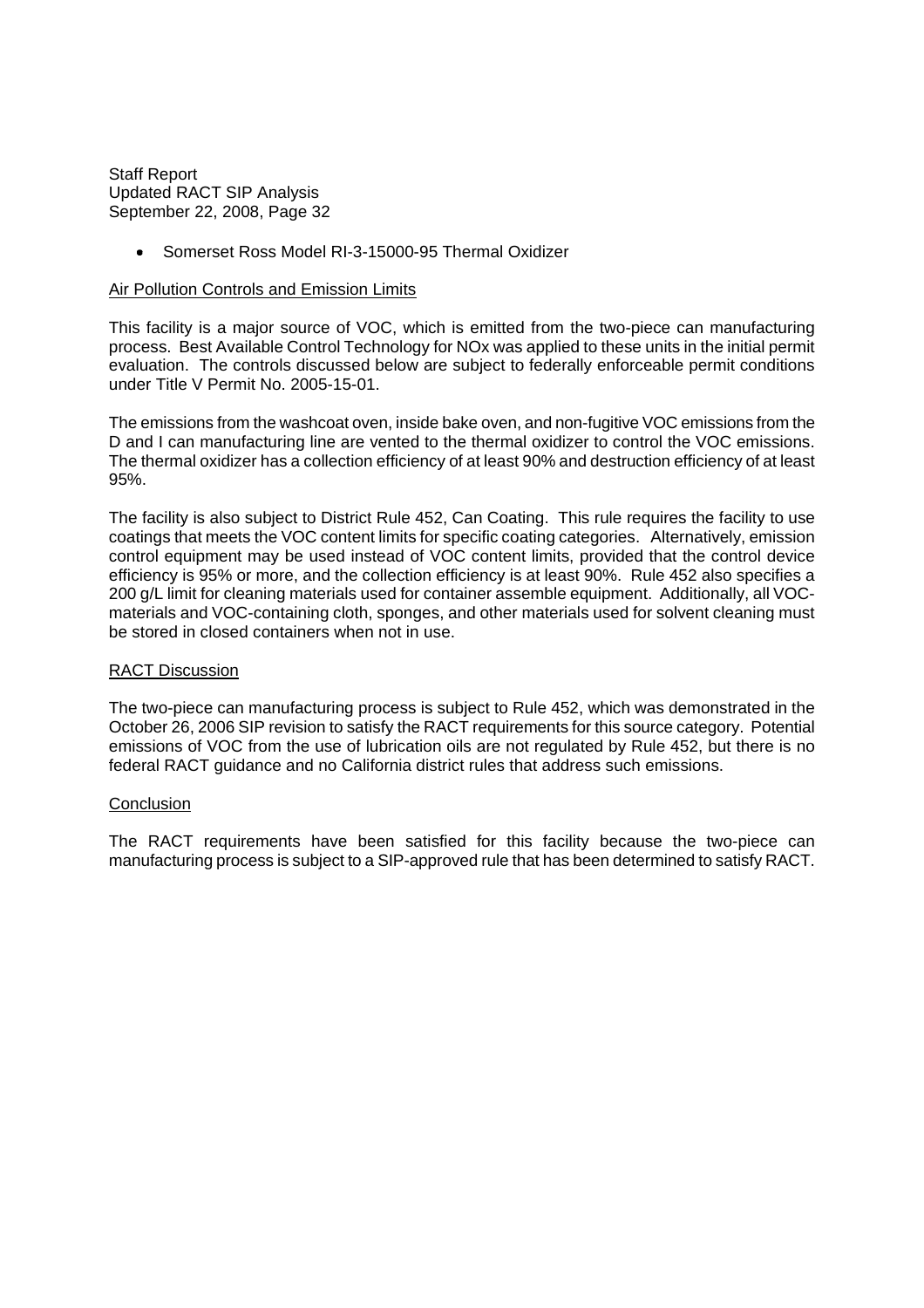Somerset Ross Model RI-3-15000-95 Thermal Oxidizer

### **Air Pollution Controls and Emission Limits**

This facility is a major source of VOC, which is emitted from the two-piece can manufacturing process. Best Available Control Technology for NOx was applied to these units in the initial permit evaluation. The controls discussed below are subject to federally enforceable permit conditions under Title V Permit No. 2005-15-01.

The emissions from the washcoat oven, inside bake oven, and non-fugitive VOC emissions from the D and I can manufacturing line are vented to the thermal oxidizer to control the VOC emissions. The thermal oxidizer has a collection efficiency of at least 90% and destruction efficiency of at least 95%.

The facility is also subject to District Rule 452, Can Coating. This rule requires the facility to use coatings that meets the VOC content limits for specific coating categories. Alternatively, emission control equipment may be used instead of VOC content limits, provided that the control device efficiency is 95% or more, and the collection efficiency is at least 90%. Rule 452 also specifies a 200 g/L limit for cleaning materials used for container assemble equipment. Additionally, all VOCmaterials and VOC-containing cloth, sponges, and other materials used for solvent cleaning must be stored in closed containers when not in use.

# RACT Discussion

The two-piece can manufacturing process is subject to Rule 452, which was demonstrated in the October 26, 2006 SIP revision to satisfy the RACT requirements for this source category. Potential emissions of VOC from the use of lubrication oils are not regulated by Rule 452, but there is no federal RACT guidance and no California district rules that address such emissions.

# **Conclusion**

The RACT requirements have been satisfied for this facility because the two-piece can manufacturing process is subject to a SIP-approved rule that has been determined to satisfy RACT.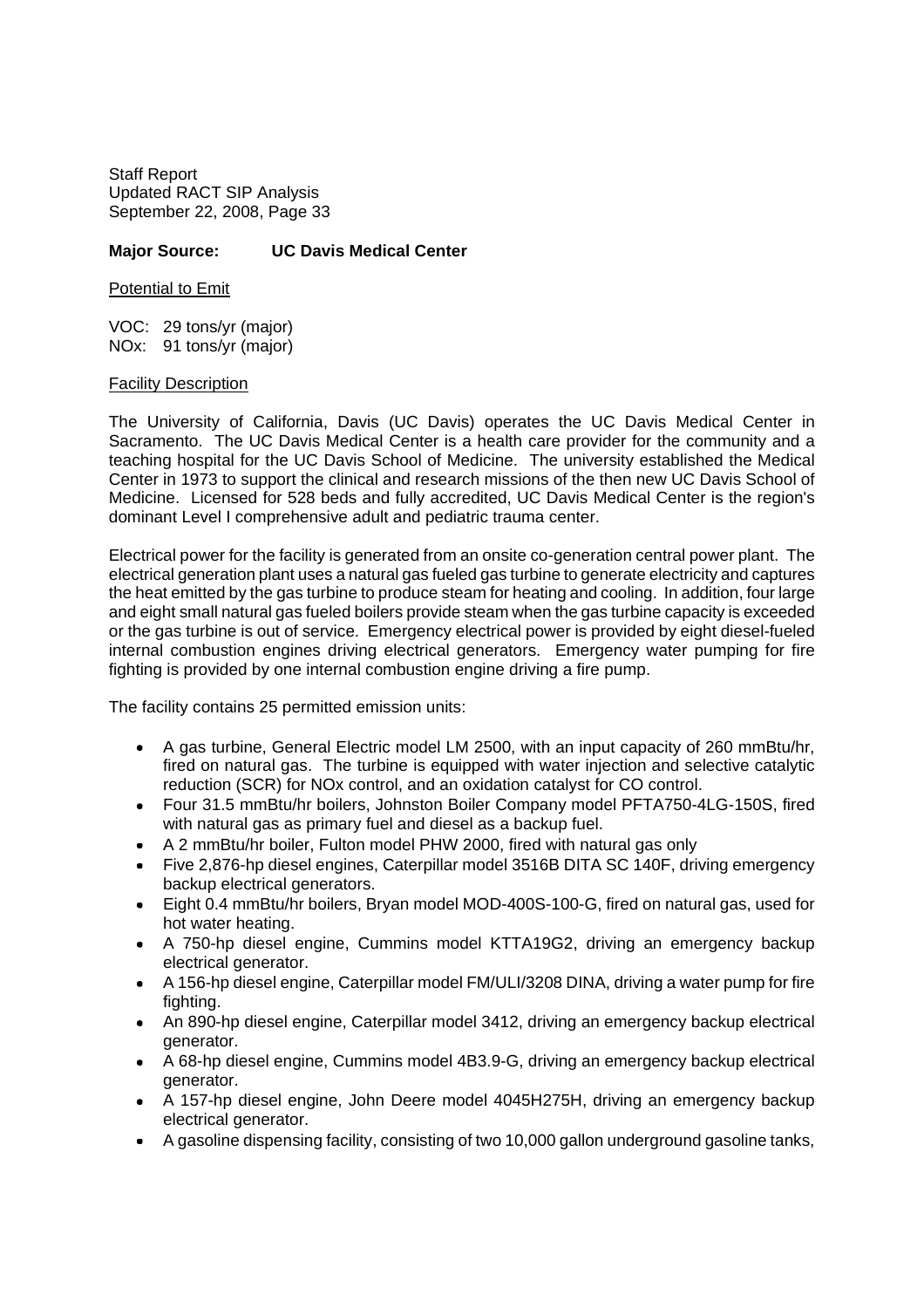# **Major Source: UC Davis Medical Center**

Potential to Emit

VOC: 29 tons/yr (major) NOx: 91 tons/yr (major)

# Facility Description

The University of California, Davis (UC Davis) operates the UC Davis Medical Center in Sacramento. The UC Davis Medical Center is a health care provider for the community and a teaching hospital for the UC Davis School of Medicine. The university established the Medical Center in 1973 to support the clinical and research missions of the then new UC Davis School of Medicine. Licensed for 528 beds and fully accredited, UC Davis Medical Center is the region's dominant Level I comprehensive adult and pediatric trauma center.

Electrical power for the facility is generated from an onsite co-generation central power plant. The electrical generation plant uses a natural gas fueled gas turbine to generate electricity and captures the heat emitted by the gas turbine to produce steam for heating and cooling. In addition, four large and eight small natural gas fueled boilers provide steam when the gas turbine capacity is exceeded or the gas turbine is out of service. Emergency electrical power is provided by eight diesel-fueled internal combustion engines driving electrical generators. Emergency water pumping for fire fighting is provided by one internal combustion engine driving a fire pump.

The facility contains 25 permitted emission units:

- A gas turbine, General Electric model LM 2500, with an input capacity of 260 mmBtu/hr, fired on natural gas. The turbine is equipped with water injection and selective catalytic reduction (SCR) for NOx control, and an oxidation catalyst for CO control.
- Four 31.5 mmBtu/hr boilers, Johnston Boiler Company model PFTA750-4LG-150S, fired with natural gas as primary fuel and diesel as a backup fuel.
- A 2 mmBtu/hr boiler, Fulton model PHW 2000, fired with natural gas only
- Five 2,876-hp diesel engines, Caterpillar model 3516B DITA SC 140F, driving emergency backup electrical generators.
- Eight 0.4 mmBtu/hr boilers, Bryan model MOD-400S-100-G, fired on natural gas, used for hot water heating.
- A 750-hp diesel engine, Cummins model KTTA19G2, driving an emergency backup electrical generator.
- A 156-hp diesel engine, Caterpillar model FM/ULI/3208 DINA, driving a water pump for fire fighting.
- An 890-hp diesel engine, Caterpillar model 3412, driving an emergency backup electrical generator.
- A 68-hp diesel engine, Cummins model 4B3.9-G, driving an emergency backup electrical generator.
- A 157-hp diesel engine, John Deere model 4045H275H, driving an emergency backup electrical generator.
- A gasoline dispensing facility, consisting of two 10,000 gallon underground gasoline tanks,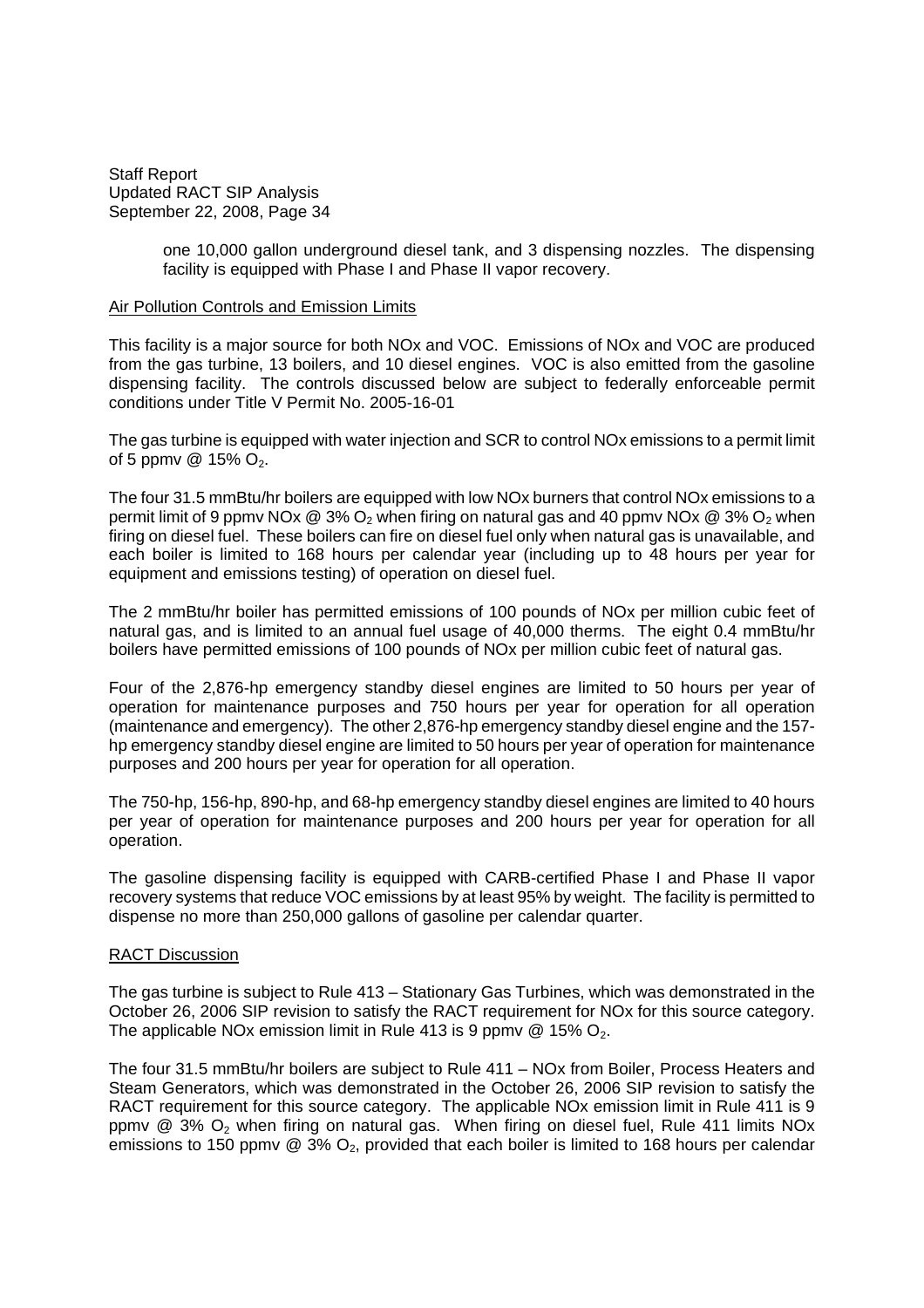> one 10,000 gallon underground diesel tank, and 3 dispensing nozzles. The dispensing facility is equipped with Phase I and Phase II vapor recovery.

#### Air Pollution Controls and Emission Limits

This facility is a major source for both NOx and VOC. Emissions of NOx and VOC are produced from the gas turbine, 13 boilers, and 10 diesel engines. VOC is also emitted from the gasoline dispensing facility. The controls discussed below are subject to federally enforceable permit conditions under Title V Permit No. 2005-16-01

The gas turbine is equipped with water injection and SCR to control NOx emissions to a permit limit of 5 ppmv  $@$  15%  $O_2$ .

The four 31.5 mmBtu/hr boilers are equipped with low NOx burners that control NOx emissions to a permit limit of 9 ppmv NOx @ 3% O<sub>2</sub> when firing on natural gas and 40 ppmv NOx @ 3% O<sub>2</sub> when firing on diesel fuel. These boilers can fire on diesel fuel only when natural gas is unavailable, and each boiler is limited to 168 hours per calendar year (including up to 48 hours per year for equipment and emissions testing) of operation on diesel fuel.

The 2 mmBtu/hr boiler has permitted emissions of 100 pounds of NOx per million cubic feet of natural gas, and is limited to an annual fuel usage of 40,000 therms. The eight 0.4 mmBtu/hr boilers have permitted emissions of 100 pounds of NOx per million cubic feet of natural gas.

Four of the 2,876-hp emergency standby diesel engines are limited to 50 hours per year of operation for maintenance purposes and 750 hours per year for operation for all operation (maintenance and emergency). The other 2,876-hp emergency standby diesel engine and the 157 hp emergency standby diesel engine are limited to 50 hours per year of operation for maintenance purposes and 200 hours per year for operation for all operation.

The 750-hp, 156-hp, 890-hp, and 68-hp emergency standby diesel engines are limited to 40 hours per year of operation for maintenance purposes and 200 hours per year for operation for all operation.

The gasoline dispensing facility is equipped with CARB-certified Phase I and Phase II vapor recovery systems that reduce VOC emissions by at least 95% by weight. The facility is permitted to dispense no more than 250,000 gallons of gasoline per calendar quarter.

# RACT Discussion

The gas turbine is subject to Rule 413 – Stationary Gas Turbines, which was demonstrated in the October 26, 2006 SIP revision to satisfy the RACT requirement for NOx for this source category. The applicable NOx emission limit in Rule 413 is 9 ppmv  $@$  15% O<sub>2</sub>.

The four 31.5 mmBtu/hr boilers are subject to Rule 411 – NOx from Boiler, Process Heaters and Steam Generators, which was demonstrated in the October 26, 2006 SIP revision to satisfy the RACT requirement for this source category. The applicable NOx emission limit in Rule 411 is 9 ppmv  $@$  3%  $O<sub>2</sub>$  when firing on natural gas. When firing on diesel fuel, Rule 411 limits NOx emissions to 150 ppmv  $@$  3%  $O_2$ , provided that each boiler is limited to 168 hours per calendar